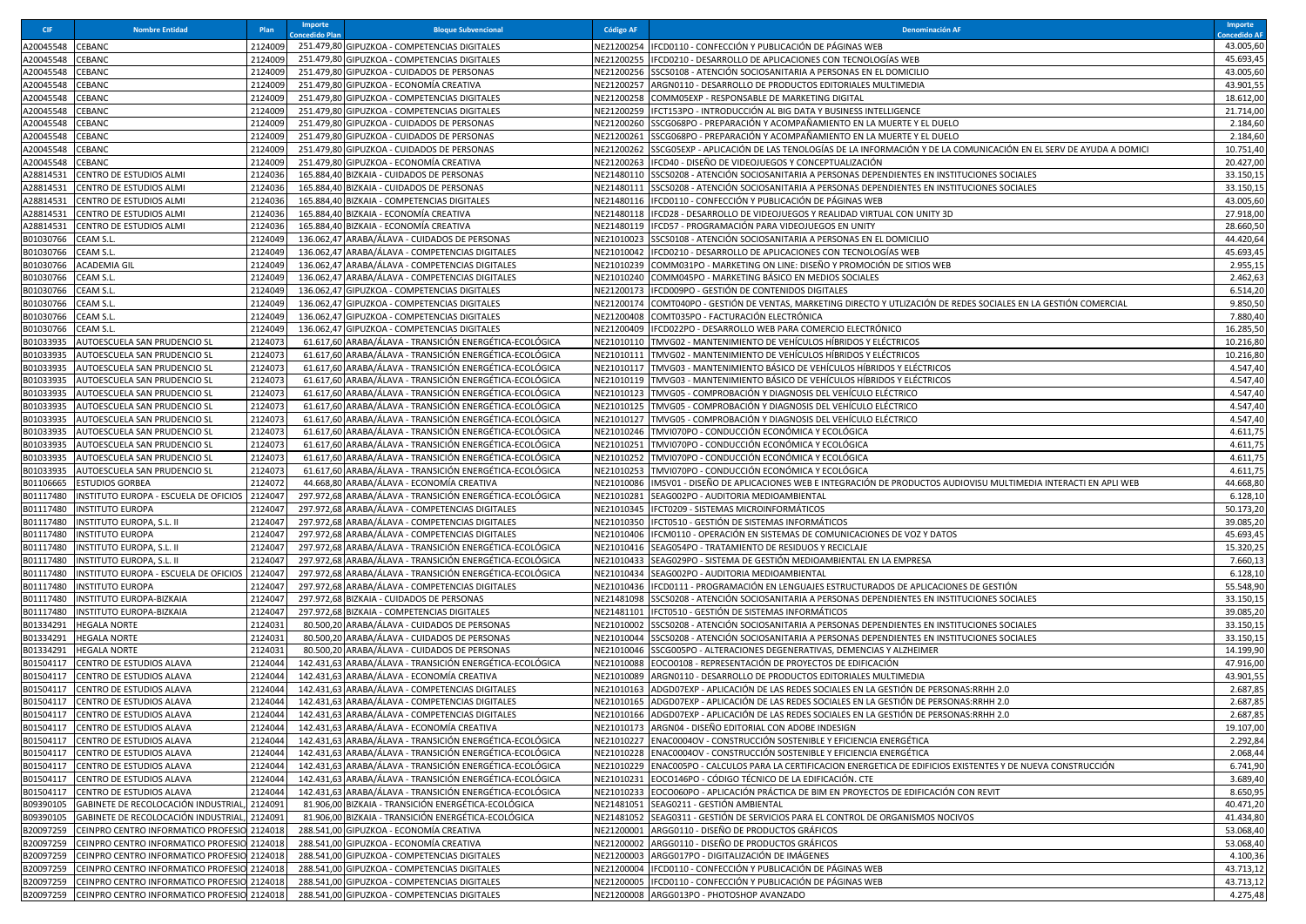| <b>CIF</b>             | <b>Nombre Entidad</b>                                                    | Plan               | Importe<br><b>Oncedido Plar</b> | <b>Bloque Subvencional</b>                                                                            | <b>Código AF</b>         | <b>Denominación AF</b>                                                                                                                                | Importe<br><b>oncedido AF</b> |
|------------------------|--------------------------------------------------------------------------|--------------------|---------------------------------|-------------------------------------------------------------------------------------------------------|--------------------------|-------------------------------------------------------------------------------------------------------------------------------------------------------|-------------------------------|
| 120045548              | CEBANC                                                                   | 2124009            |                                 | 251.479,80 GIPUZKOA - COMPETENCIAS DIGITALES                                                          |                          | VE21200254 IFCD0110 - CONFECCIÓN Y PUBLICACIÓN DE PÁGINAS WEB                                                                                         | 43.005,60                     |
| A20045548              | CEBANC                                                                   | 2124009            |                                 | 251.479,80 GIPUZKOA - COMPETENCIAS DIGITALES                                                          | NE21200255               | IFCD0210 - DESARROLLO DE APLICACIONES CON TECNOLOGÍAS WEB                                                                                             | 45.693,45                     |
| 420045548              | CEBANC                                                                   | 2124009            |                                 | 251.479,80 GIPUZKOA - CUIDADOS DE PERSONAS                                                            |                          | NE21200256 SSCS0108 - ATENCIÓN SOCIOSANITARIA A PERSONAS EN EL DOMICILIO                                                                              | 43.005,60                     |
| 120045548              | CEBANC                                                                   | 2124009            |                                 | 251.479,80 GIPUZKOA - ECONOMÍA CREATIVA                                                               |                          | NE21200257 ARGN0110 - DESARROLLO DE PRODUCTOS EDITORIALES MULTIMEDIA                                                                                  | 43.901,55                     |
| 420045548              | CEBANC                                                                   | 2124009            |                                 | 251.479,80 GIPUZKOA - COMPETENCIAS DIGITALES                                                          | NE21200258               | COMM05EXP - RESPONSABLE DE MARKETING DIGITAL                                                                                                          | 18.612,00                     |
| 420045548              | CEBANC                                                                   | 2124009            |                                 | 251.479,80 GIPUZKOA - COMPETENCIAS DIGITALES                                                          | NE21200259               | IFCT153PO - INTRODUCCIÓN AL BIG DATA Y BUSINESS INTELLIGENCE                                                                                          | 21.714,00                     |
| 420045548              | CEBANC                                                                   | 2124009            |                                 | 251.479,80 GIPUZKOA - CUIDADOS DE PERSONAS                                                            | NE21200260               | SSCG068PO - PREPARACIÓN Y ACOMPAÑAMIENTO EN LA MUERTE Y EL DUELO                                                                                      | 2.184,60                      |
| 420045548              | CEBANC                                                                   | 2124009            |                                 | 251.479,80 GIPUZKOA - CUIDADOS DE PERSONAS                                                            | NE21200261               | SSCG068PO - PREPARACIÓN Y ACOMPAÑAMIENTO EN LA MUERTE Y EL DUELO                                                                                      | 2.184,60                      |
| 120045548              | CEBANC                                                                   | 2124009            |                                 | 251.479,80 GIPUZKOA - CUIDADOS DE PERSONAS                                                            | VE21200262               | SSCG05EXP - APLICACIÓN DE LAS TENOLOGÍAS DE LA INFORMACIÓN Y DE LA COMUNICACIÓN EN EL SERV DE AYUDA A DOMICI                                          | 10.751,40                     |
| A20045548              | CEBANC                                                                   | 2124009            |                                 | 251.479,80 GIPUZKOA - ECONOMÍA CREATIVA                                                               | NE21200263               | IFCD40 - DISEÑO DE VIDEOJUEGOS Y CONCEPTUALIZACIÓN                                                                                                    | 20.427,00                     |
| 428814531              | CENTRO DE ESTUDIOS ALMI                                                  | 2124036            |                                 | 165.884,40 BIZKAIA - CUIDADOS DE PERSONAS                                                             | NE21480110               | SSCS0208 - ATENCIÓN SOCIOSANITARIA A PERSONAS DEPENDIENTES EN INSTITUCIONES SOCIALES                                                                  | 33.150,15                     |
| 428814531              | CENTRO DE ESTUDIOS ALMI<br>CENTRO DE ESTUDIOS ALMI                       | 2124036<br>2124036 |                                 | 165.884,40 BIZKAIA - CUIDADOS DE PERSONAS                                                             | NE21480111<br>NE21480116 | SSCS0208 - ATENCIÓN SOCIOSANITARIA A PERSONAS DEPENDIENTES EN INSTITUCIONES SOCIALES<br>IFCD0110 - CONFECCIÓN Y PUBLICACIÓN DE PÁGINAS WEB            | 33.150,15                     |
| 428814531<br>428814531 | CENTRO DE ESTUDIOS ALMI                                                  | 2124036            |                                 | 165.884,40 BIZKAIA - COMPETENCIAS DIGITALES<br>165.884,40 BIZKAIA - ECONOMÍA CREATIVA                 | NE21480118               | IFCD28 - DESARROLLO DE VIDEOJUEGOS Y REALIDAD VIRTUAL CON UNITY 3D                                                                                    | 43.005,60<br>27.918,00        |
| 428814531              | CENTRO DE ESTUDIOS ALMI                                                  | 2124036            |                                 | 165.884,40 BIZKAIA - ECONOMÍA CREATIVA                                                                | NE21480119               | IFCD57 - PROGRAMACIÓN PARA VIDEOJUEGOS EN UNITY                                                                                                       | 28.660,50                     |
| B01030766              | CEAM S.L.                                                                | 2124049            |                                 | 136.062,47 ARABA/ÁLAVA - CUIDADOS DE PERSONAS                                                         | NE21010023               | SSCS0108 - ATENCIÓN SOCIOSANITARIA A PERSONAS EN EL DOMICILIO                                                                                         | 44.420,64                     |
| 801030766              | CEAM S.L.                                                                | 2124049            |                                 | 136.062,47 ARABA/ÁLAVA - COMPETENCIAS DIGITALES                                                       | VE21010042               | IFCD0210 - DESARROLLO DE APLICACIONES CON TECNOLOGÍAS WEB                                                                                             | 45.693,45                     |
| B01030766              | <b>ACADEMIA GIL</b>                                                      | 2124049            |                                 | 136.062,47 ARABA/ÁLAVA - COMPETENCIAS DIGITALES                                                       | NE21010239               | COMM031PO - MARKETING ON LINE: DISEÑO Y PROMOCIÓN DE SITIOS WEB                                                                                       | 2.955,15                      |
| B01030766              | CEAM S.L.                                                                | 2124049            |                                 | 136.062,47 ARABA/ÁLAVA - COMPETENCIAS DIGITALES                                                       | NE21010240               | COMM045PO - MARKETING BÁSICO EN MEDIOS SOCIALES                                                                                                       | 2.462,63                      |
| B01030766              | CEAM S.L.                                                                | 2124049            |                                 | 136.062,47 GIPUZKOA - COMPETENCIAS DIGITALES                                                          | NE21200173               | IFCD009PO - GESTIÓN DE CONTENIDOS DIGITALES                                                                                                           | 6.514,20                      |
| B01030766              | CEAM S.L.                                                                | 2124049            |                                 | 136.062,47 GIPUZKOA - COMPETENCIAS DIGITALES                                                          | VE21200174               | COMT040PO - GESTIÓN DE VENTAS, MARKETING DIRECTO Y UTLIZACIÓN DE REDES SOCIALES EN LA GESTIÓN COMERCIAL                                               | 9.850,50                      |
| B01030766              | CEAM S.L.                                                                | 2124049            |                                 | 136.062,47 GIPUZKOA - COMPETENCIAS DIGITALES                                                          | NE21200408               | COMT035PO - FACTURACIÓN ELECTRÓNICA                                                                                                                   | 7.880,40                      |
| B01030766              | CEAM S.L.                                                                | 2124049            |                                 | 136.062,47 GIPUZKOA - COMPETENCIAS DIGITALES                                                          | NE21200409               | IFCD022PO - DESARROLLO WEB PARA COMERCIO ELECTRÓNICO                                                                                                  | 16.285,50                     |
| 801033935              | AUTOESCUELA SAN PRUDENCIO SL                                             | 2124073            |                                 | 61.617,60 ARABA/ÁLAVA - TRANSICIÓN ENERGÉTICA-ECOLÓGICA                                               | NE21010110               | TMVG02 - MANTENIMIENTO DE VEHÍCULOS HÍBRIDOS Y ELÉCTRICOS                                                                                             | 10.216,80                     |
| B01033935              | AUTOESCUELA SAN PRUDENCIO SL                                             | 2124073            |                                 | 61.617,60 ARABA/ÁLAVA - TRANSICIÓN ENERGÉTICA-ECOLÓGICA                                               | NE21010111               | TMVG02 - MANTENIMIENTO DE VEHÍCULOS HÍBRIDOS Y ELÉCTRICOS                                                                                             | 10.216,80                     |
| B01033935              | AUTOESCUELA SAN PRUDENCIO SL                                             | 2124073            |                                 | 61.617,60 ARABA/ÁLAVA - TRANSICIÓN ENERGÉTICA-ECOLÓGICA                                               | NE21010117               | TMVG03 - MANTENIMIENTO BÁSICO DE VEHÍCULOS HÍBRIDOS Y ELÉCTRICOS                                                                                      | 4.547,40                      |
| B01033935              | AUTOESCUELA SAN PRUDENCIO SL                                             | 2124073            |                                 | 61.617,60 ARABA/ÁLAVA - TRANSICIÓN ENERGÉTICA-ECOLÓGICA                                               | NE21010119               | TMVG03 - MANTENIMIENTO BÁSICO DE VEHÍCULOS HÍBRIDOS Y ELÉCTRICOS                                                                                      | 4.547,40                      |
| B01033935              | AUTOESCUELA SAN PRUDENCIO SL                                             | 2124073            |                                 | 61.617,60 ARABA/ÁLAVA - TRANSICIÓN ENERGÉTICA-ECOLÓGICA                                               | NE21010123               | TMVG05 - COMPROBACIÓN Y DIAGNOSIS DEL VEHÍCULO ELÉCTRICO                                                                                              | 4.547,40                      |
| B01033935              | AUTOESCUELA SAN PRUDENCIO SL                                             | 2124073            |                                 | 61.617,60 ARABA/ÁLAVA - TRANSICIÓN ENERGÉTICA-ECOLÓGICA                                               |                          | NE21010125  TMVG05 - COMPROBACIÓN Y DIAGNOSIS DEL VEHÍCULO ELÉCTRICO                                                                                  | 4.547,40                      |
| B01033935              | AUTOESCUELA SAN PRUDENCIO SL                                             | 2124073            |                                 | 61.617,60 ARABA/ÁLAVA - TRANSICIÓN ENERGÉTICA-ECOLÓGICA                                               | NE21010127               | TMVG05 - COMPROBACIÓN Y DIAGNOSIS DEL VEHÍCULO ELÉCTRICO                                                                                              | 4.547,40                      |
| B01033935              | AUTOESCUELA SAN PRUDENCIO SL                                             | 2124073            |                                 | 61.617,60 ARABA/ÁLAVA - TRANSICIÓN ENERGÉTICA-ECOLÓGICA                                               | NE21010246               | TMVI070PO - CONDUCCIÓN ECONÓMICA Y ECOLÓGICA                                                                                                          | 4.611,75                      |
| B01033935              | AUTOESCUELA SAN PRUDENCIO SL                                             | 2124073            |                                 | 61.617,60 ARABA/ÁLAVA - TRANSICIÓN ENERGÉTICA-ECOLÓGICA                                               | NE21010251               | TMVI070PO - CONDUCCIÓN ECONÓMICA Y ECOLÓGICA                                                                                                          | 4.611,75                      |
| B01033935              | AUTOESCUELA SAN PRUDENCIO SL                                             | 2124073            |                                 | 61.617,60 ARABA/ÁLAVA - TRANSICIÓN ENERGÉTICA-ECOLÓGICA                                               | NE21010252               | TMVI070PO - CONDUCCIÓN ECONÓMICA Y ECOLÓGICA                                                                                                          | 4.611,75                      |
| B01033935              | AUTOESCUELA SAN PRUDENCIO SL                                             | 2124073<br>2124072 |                                 | 61.617,60 ARABA/ÁLAVA - TRANSICIÓN ENERGÉTICA-ECOLÓGICA                                               | NE21010253<br>NE21010086 | TMVI070PO - CONDUCCIÓN ECONÓMICA Y ECOLÓGICA                                                                                                          | 4.611,75                      |
| B01106665<br>B01117480 | <b>ESTUDIOS GORBEA</b><br>INSTITUTO EUROPA - ESCUELA DE OFICIOS          | 2124047            |                                 | 44.668,80 ARABA/ÁLAVA - ECONOMÍA CREATIVA<br>297.972,68 ARABA/ÁLAVA - TRANSICIÓN ENERGÉTICA-ECOLÓGICA | NE21010281               | IMSV01 - DISEÑO DE APLICACIONES WEB E INTEGRACIÓN DE PRODUCTOS AUDIOVISU MULTIMEDIA INTERACTI EN APLI WEB<br>SEAG002PO - AUDITORIA MEDIOAMBIENTAL     | 44.668,80<br>6.128,10         |
| B01117480              | INSTITUTO EUROPA                                                         | 2124047            |                                 | 297.972,68 ARABA/ÁLAVA - COMPETENCIAS DIGITALES                                                       |                          | NE21010345 IFCT0209 - SISTEMAS MICROINFORMÁTICOS                                                                                                      | 50.173,20                     |
| B01117480              | INSTITUTO EUROPA, S.L. II                                                | 2124047            |                                 | 297.972,68 ARABA/ÁLAVA - COMPETENCIAS DIGITALES                                                       | NE21010350               | IFCT0510 - GESTIÓN DE SISTEMAS INFORMÁTICOS                                                                                                           | 39.085,20                     |
| B01117480              | INSTITUTO EUROPA                                                         | 2124047            |                                 | 297.972,68 ARABA/ÁLAVA - COMPETENCIAS DIGITALES                                                       | NE21010406               | IFCM0110 - OPERACIÓN EN SISTEMAS DE COMUNICACIONES DE VOZ Y DATOS                                                                                     | 45.693,45                     |
| B01117480              | INSTITUTO EUROPA, S.L. II                                                | 2124047            |                                 | 297.972,68 ARABA/ÁLAVA - TRANSICIÓN ENERGÉTICA-ECOLÓGICA                                              | NE21010416               | SEAG054PO - TRATAMIENTO DE RESIDUOS Y RECICLAJE                                                                                                       | 15.320,25                     |
| B01117480              | INSTITUTO EUROPA, S.L. II                                                | 2124047            |                                 | 297.972,68 ARABA/ÁLAVA - TRANSICIÓN ENERGÉTICA-ECOLÓGICA                                              |                          | NE21010433 SEAG029PO - SISTEMA DE GESTIÓN MEDIOAMBIENTAL EN LA EMPRESA                                                                                | 7.660,13                      |
| B01117480              | INSTITUTO EUROPA - ESCUELA DE OFICIOS                                    | 2124047            |                                 | 297.972,68 ARABA/ÁLAVA - TRANSICIÓN ENERGÉTICA-ECOLÓGICA                                              |                          | NE21010434 SEAG002PO - AUDITORIA MEDIOAMBIENTAL                                                                                                       | 6.128,10                      |
| B01117480              | INSTITUTO EUROPA                                                         | 2124047            |                                 | 297.972,68 ARABA/ÁLAVA - COMPETENCIAS DIGITALES                                                       | NE21010436               | IFCD0111 - PROGRAMACIÓN EN LENGUAJES ESTRUCTURADOS DE APLICACIONES DE GESTIÓN                                                                         | 55.548,90                     |
| B01117480              | INSTITUTO EUROPA-BIZKAIA                                                 | 2124047            |                                 | 297.972,68 BIZKAIA - CUIDADOS DE PERSONAS                                                             | NE21481098               | SSCS0208 - ATENCIÓN SOCIOSANITARIA A PERSONAS DEPENDIENTES EN INSTITUCIONES SOCIALES                                                                  | 33.150,15                     |
| B01117480              | INSTITUTO EUROPA-BIZKAIA                                                 | 2124047            |                                 | 297.972,68 BIZKAIA - COMPETENCIAS DIGITALES                                                           | NE21481101               | IFCT0510 - GESTIÓN DE SISTEMAS INFORMÁTICOS                                                                                                           | 39.085,20                     |
| B01334291              | <b>HEGALA NORTE</b>                                                      | 2124031            |                                 | 80.500,20 ARABA/ÁLAVA - CUIDADOS DE PERSONAS                                                          | VE21010002               | SSCS0208 - ATENCIÓN SOCIOSANITARIA A PERSONAS DEPENDIENTES EN INSTITUCIONES SOCIALES                                                                  | 33.150,15                     |
| B01334291              | HEGALA NORTE                                                             | 2124031            |                                 | 80.500,20 ARABA/ÁLAVA - CUIDADOS DE PERSONAS                                                          | NE21010044               | SSCS0208 - ATENCIÓN SOCIOSANITARIA A PERSONAS DEPENDIENTES EN INSTITUCIONES SOCIALES                                                                  | 33.150,15                     |
| B01334291              | <b>HEGALA NORTE</b>                                                      | 212403             |                                 | 80.500,20 ARABA/ÁLAVA - CUIDADOS DE PERSONAS                                                          | NE21010046               | SSCG005PO - ALTERACIONES DEGENERATIVAS, DEMENCIAS Y ALZHEIMER                                                                                         | 14.199,90                     |
| B01504117              | CENTRO DE ESTUDIOS ALAVA                                                 | 2124044            |                                 | 142.431,63 ARABA/ÁLAVA - TRANSICIÓN ENERGÉTICA-ECOLÓGICA                                              | NE21010088               | EOCO0108 - REPRESENTACIÓN DE PROYECTOS DE EDIFICACIÓN                                                                                                 | 47.916,00                     |
| 801504117              | CENTRO DE ESTUDIOS ALAVA                                                 | 2124044            |                                 | 142.431,63 ARABA/ÁLAVA - ECONOMÍA CREATIVA                                                            |                          | NE21010089 ARGN0110 - DESARROLLO DE PRODUCTOS EDITORIALES MULTIMEDIA                                                                                  | 43.901,55                     |
| B01504117              | CENTRO DE ESTUDIOS ALAVA                                                 | 2124044            |                                 | 142.431,63 ARABA/ÁLAVA - COMPETENCIAS DIGITALES                                                       |                          | VE21010163  ADGD07EXP - APLICACIÓN DE LAS REDES SOCIALES EN LA GESTIÓN DE PERSONAS:RRHH 2.0                                                           | 2.687,85                      |
|                        | B01504117 CENTRO DE ESTUDIOS ALAVA                                       | 2124044            |                                 | 142.431,63 ARABA/ÁLAVA - COMPETENCIAS DIGITALES                                                       |                          | NE21010165 ADGD07EXP - APLICACIÓN DE LAS REDES SOCIALES EN LA GESTIÓN DE PERSONAS:RRHH 2.0                                                            | 2.687,85                      |
|                        | B01504117 CENTRO DE ESTUDIOS ALAVA<br>B01504117 CENTRO DE ESTUDIOS ALAVA | 2124044<br>2124044 |                                 | 142.431,63 ARABA/ÁLAVA - COMPETENCIAS DIGITALES<br>142.431,63 ARABA/ÁLAVA - ECONOMÍA CREATIVA         |                          | NE21010166 ADGD07EXP - APLICACIÓN DE LAS REDES SOCIALES EN LA GESTIÓN DE PERSONAS:RRHH 2.0<br>NE21010173 ARGN04 - DISEÑO EDITORIAL CON ADOBE INDESIGN | 2.687,85<br>19.107,00         |
|                        | B01504117 CENTRO DE ESTUDIOS ALAVA                                       | 2124044            |                                 | 142.431,63 ARABA/ÁLAVA - TRANSICIÓN ENERGÉTICA-ECOLÓGICA                                              |                          | NE21010227 ENAC0004OV - CONSTRUCCIÓN SOSTENIBLE Y EFICIENCIA ENERGÉTICA                                                                               | 2.292,84                      |
|                        | B01504117 CENTRO DE ESTUDIOS ALAVA                                       | 2124044            |                                 | 142.431,63 ARABA/ÁLAVA - TRANSICIÓN ENERGÉTICA-ECOLÓGICA                                              |                          | NE21010228 ENAC0004OV - CONSTRUCCIÓN SOSTENIBLE Y EFICIENCIA ENERGÉTICA                                                                               | 2.068,44                      |
|                        | B01504117 CENTRO DE ESTUDIOS ALAVA                                       | 2124044            |                                 | 142.431,63 ARABA/ÁLAVA - TRANSICIÓN ENERGÉTICA-ECOLÓGICA                                              | NE21010229               | ENAC005PO - CALCULOS PARA LA CERTIFICACION ENERGETICA DE EDIFICIOS EXISTENTES Y DE NUEVA CONSTRUCCIÓN                                                 | 6.741,90                      |
|                        | B01504117 CENTRO DE ESTUDIOS ALAVA                                       | 2124044            |                                 | 142.431,63 ARABA/ÁLAVA - TRANSICIÓN ENERGÉTICA-ECOLÓGICA                                              | NE21010231               | EOCO146PO - CÓDIGO TÉCNICO DE LA EDIFICACIÓN. CTE                                                                                                     | 3.689,40                      |
|                        | B01504117 CENTRO DE ESTUDIOS ALAVA                                       | 2124044            |                                 | 142.431,63 ARABA/ÁLAVA - TRANSICIÓN ENERGÉTICA-ECOLÓGICA                                              |                          | NE21010233 EOCO060PO - APLICACIÓN PRÁCTICA DE BIM EN PROYECTOS DE EDIFICACIÓN CON REVIT                                                               | 8.650,95                      |
| B09390105              | GABINETE DE RECOLOCACIÓN INDUSTRIAL                                      | 2124091            |                                 | 81.906,00 BIZKAIA - TRANSICIÓN ENERGÉTICA-ECOLÓGICA                                                   | NE21481051               | SEAG0211 - GESTIÓN AMBIENTAL                                                                                                                          | 40.471,20                     |
|                        | B09390105 GABINETE DE RECOLOCACIÓN INDUSTRIAL,                           | 2124091            |                                 | 81.906,00 BIZKAIA - TRANSICIÓN ENERGÉTICA-ECOLÓGICA                                                   | NE21481052               | SEAG0311 - GESTIÓN DE SERVICIOS PARA EL CONTROL DE ORGANISMOS NOCIVOS                                                                                 | 41.434,80                     |
|                        | B20097259 CEINPRO CENTRO INFORMATICO PROFESIO 2124018                    |                    |                                 | 288.541,00 GIPUZKOA - ECONOMÍA CREATIVA                                                               | NE21200001               | ARGG0110 - DISEÑO DE PRODUCTOS GRÁFICOS                                                                                                               | 53.068,40                     |
| B20097259              | CEINPRO CENTRO INFORMATICO PROFESIO 2124018                              |                    |                                 | 288.541,00 GIPUZKOA - ECONOMÍA CREATIVA                                                               |                          | NE21200002 ARGG0110 - DISEÑO DE PRODUCTOS GRÁFICOS                                                                                                    | 53.068,40                     |
|                        | B20097259 CEINPRO CENTRO INFORMATICO PROFESIO 2124018                    |                    |                                 | 288.541.00 GIPUZKOA - COMPETENCIAS DIGITALES                                                          |                          | NE21200003 ARGG017PO - DIGITALIZACIÓN DE IMÁGENES                                                                                                     | 4.100,36                      |
|                        | B20097259 CEINPRO CENTRO INFORMATICO PROFESIO 2124018                    |                    |                                 | 288.541,00 GIPUZKOA - COMPETENCIAS DIGITALES                                                          | NE21200004               | IFCD0110 - CONFECCIÓN Y PUBLICACIÓN DE PÁGINAS WEB                                                                                                    | 43.713,12                     |
|                        | B20097259 CEINPRO CENTRO INFORMATICO PROFESIO 2124018                    |                    |                                 | 288.541,00 GIPUZKOA - COMPETENCIAS DIGITALES                                                          |                          | NE21200005 IFCD0110 - CONFECCIÓN Y PUBLICACIÓN DE PÁGINAS WEB                                                                                         | 43.713,12                     |
|                        | B20097259 CEINPRO CENTRO INFORMATICO PROFESIO 2124018                    |                    |                                 | 288.541,00 GIPUZKOA - COMPETENCIAS DIGITALES                                                          |                          | NE21200008 ARGG013PO - PHOTOSHOP AVANZADO                                                                                                             | 4.275,48                      |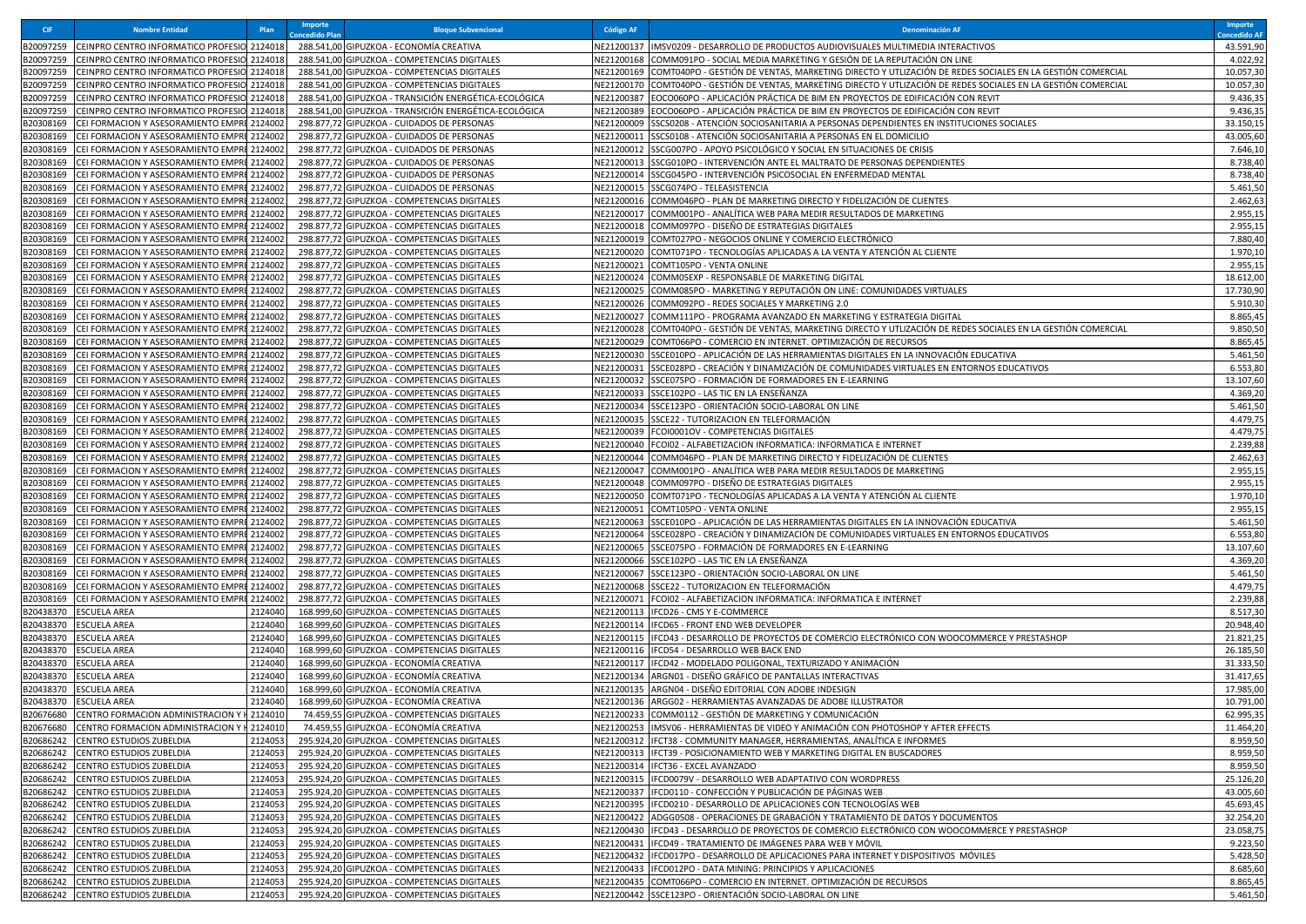| <b>CIF</b>             | <b>Nombre Entidad</b>                                                                      | Plar               | <b>Importe</b><br>oncedido Plai | <b>Bloque Subvencional</b>                                                                   | <b>Código AF</b>         | <b>Denominación AF</b>                                                                                                                   | Importe<br>oncedido AF |
|------------------------|--------------------------------------------------------------------------------------------|--------------------|---------------------------------|----------------------------------------------------------------------------------------------|--------------------------|------------------------------------------------------------------------------------------------------------------------------------------|------------------------|
| B20097259              | CEINPRO CENTRO INFORMATICO PROFESIO 2124018                                                |                    |                                 | 288.541,00 GIPUZKOA - ECONOMÍA CREATIVA                                                      |                          | NE21200137  IMSV0209 - DESARROLLO DE PRODUCTOS AUDIOVISUALES MULTIMEDIA INTERACTIVOS                                                     | 43.591,90              |
| B20097259              | CEINPRO CENTRO INFORMATICO PROFESIO 212401                                                 |                    |                                 | 288.541,00 GIPUZKOA - COMPETENCIAS DIGITALES                                                 | NE21200168               | COMM091PO - SOCIAL MEDIA MARKETING Y GESIÓN DE LA REPUTACIÓN ON LINE                                                                     | 4.022,92               |
| B20097259              | CEINPRO CENTRO INFORMATICO PROFESIO 2124018                                                |                    |                                 | 288.541,00 GIPUZKOA - COMPETENCIAS DIGITALES                                                 |                          | NE21200169  COMT040PO - GESTIÓN DE VENTAS, MARKETING DIRECTO Y UTLIZACIÓN DE REDES SOCIALES EN LA GESTIÓN COMERCIAL                      | 10.057,30              |
| 320097259              | CEINPRO CENTRO INFORMATICO PROFESIO 2124018                                                |                    |                                 | 288.541,00 GIPUZKOA - COMPETENCIAS DIGITALES                                                 |                          | NE21200170  COMT040PO - GESTIÓN DE VENTAS, MARKETING DIRECTO Y UTLIZACIÓN DE REDES SOCIALES EN LA GESTIÓN COMERCIAL                      | 10.057,30              |
| 20097259               | EINPRO CENTRO INFORMATICO PROFESIO                                                         | 2124018            |                                 | 288.541,00 GIPUZKOA - TRANSICIÓN ENERGÉTICA-ECOLÓGICA                                        | NE21200387               | EOCO060PO - APLICACIÓN PRÁCTICA DE BIM EN PROYECTOS DE EDIFICACIÓN CON REVIT                                                             | 9.436,35               |
| B20097259              | CEINPRO CENTRO INFORMATICO PROFESIO 212401                                                 |                    |                                 | 288.541,00 GIPUZKOA - TRANSICIÓN ENERGÉTICA-ECOLÓGICA                                        | NE21200389               | EOCO060PO - APLICACIÓN PRÁCTICA DE BIM EN PROYECTOS DE EDIFICACIÓN CON REVIT                                                             | 9.436,35               |
| 320308169              | CEI FORMACION Y ASESORAMIENTO EMPRI 2124002                                                |                    |                                 | 298.877,72 GIPUZKOA - CUIDADOS DE PERSONAS                                                   | NE21200009               | SSCS0208 - ATENCIÓN SOCIOSANITARIA A PERSONAS DEPENDIENTES EN INSTITUCIONES SOCIALES                                                     | 33.150,15              |
| 320308169              | CEI FORMACION Y ASESORAMIENTO EMPRI 2124002                                                |                    |                                 | 298.877,72 GIPUZKOA - CUIDADOS DE PERSONAS                                                   |                          | NE21200011 SSCS0108 - ATENCIÓN SOCIOSANITARIA A PERSONAS EN EL DOMICILIO                                                                 | 43.005,60              |
| 20308169               | EI FORMACION Y ASESORAMIENTO EMPR                                                          | 2124002            |                                 | 298.877,72 GIPUZKOA - CUIDADOS DE PERSONAS                                                   | JE21200012               | SSCG007PO - APOYO PSICOLÓGICO Y SOCIAL EN SITUACIONES DE CRISIS                                                                          | 7.646,10               |
| B20308169<br>B20308169 | CEI FORMACION Y ASESORAMIENTO EMPR<br>CEI FORMACION Y ASESORAMIENTO EMPRE 2124002          | 2124002            |                                 | 298.877,72 GIPUZKOA - CUIDADOS DE PERSONAS<br>298.877,72 GIPUZKOA - CUIDADOS DE PERSONAS     | NE21200013<br>NE21200014 | SSCG010PO - INTERVENCIÓN ANTE EL MALTRATO DE PERSONAS DEPENDIENTES<br>SSCG045PO - INTERVENCIÓN PSICOSOCIAL EN ENFERMEDAD MENTAL          | 8.738,40<br>8.738,40   |
| B20308169              | CEI FORMACION Y ASESORAMIENTO EMPRE 2124002                                                |                    |                                 | 298.877,72 GIPUZKOA - CUIDADOS DE PERSONAS                                                   | NE21200015               | SSCG074PO - TELEASISTENCIA                                                                                                               | 5.461,50               |
| 20308169               | CEI FORMACION Y ASESORAMIENTO EMPRI 2124002                                                |                    |                                 | 298.877,72 GIPUZKOA - COMPETENCIAS DIGITALES                                                 | NE21200016               | COMM046PO - PLAN DE MARKETING DIRECTO Y FIDELIZACIÓN DE CLIENTES                                                                         | 2.462,63               |
| B20308169              | CEI FORMACION Y ASESORAMIENTO EMPRI                                                        | 2124002            |                                 | 298.877,72 GIPUZKOA - COMPETENCIAS DIGITALES                                                 | NE21200017               | COMM001PO - ANALÍTICA WEB PARA MEDIR RESULTADOS DE MARKETING                                                                             | 2.955,15               |
| B20308169              | CEI FORMACION Y ASESORAMIENTO EMPRI 2124002                                                |                    |                                 | 298.877,72 GIPUZKOA - COMPETENCIAS DIGITALES                                                 | NE21200018               | COMM097PO - DISEÑO DE ESTRATEGIAS DIGITALES                                                                                              | 2.955,15               |
| B20308169              | CEI FORMACION Y ASESORAMIENTO EMPRI 2124002                                                |                    |                                 | 298.877,72 GIPUZKOA - COMPETENCIAS DIGITALES                                                 |                          | NE21200019 COMT027PO - NEGOCIOS ONLINE Y COMERCIO ELECTRÓNICO                                                                            | 7.880,40               |
| 20308169               | CEI FORMACION Y ASESORAMIENTO EMPRI                                                        | 2124002            |                                 | 298.877,72 GIPUZKOA - COMPETENCIAS DIGITALES                                                 | VE21200020               | COMT071PO - TECNOLOGÍAS APLICADAS A LA VENTA Y ATENCIÓN AL CLIENTE                                                                       | 1.970,10               |
| B20308169              | CEI FORMACION Y ASESORAMIENTO EMPR                                                         | 2124002            |                                 | 298.877,72 GIPUZKOA - COMPETENCIAS DIGITALES                                                 | NE21200021               | COMT105PO - VENTA ONLINE                                                                                                                 | 2.955,15               |
| B20308169              | CEI FORMACION Y ASESORAMIENTO EMPRE 2124002                                                |                    |                                 | 298.877,72 GIPUZKOA - COMPETENCIAS DIGITALES                                                 | NE21200024               | COMM05EXP - RESPONSABLE DE MARKETING DIGITAL                                                                                             | 18.612,00              |
| 20308169               | CEI FORMACION Y ASESORAMIENTO EMPRI                                                        | 2124002            |                                 | 298.877,72 GIPUZKOA - COMPETENCIAS DIGITALES                                                 | NE21200025               | COMM085PO - MARKETING Y REPUTACIÓN ON LINE: COMUNIDADES VIRTUALES                                                                        | 17.730,90              |
| B20308169              | CEI FORMACION Y ASESORAMIENTO EMPRI                                                        | 2124002            |                                 | 298.877,72 GIPUZKOA - COMPETENCIAS DIGITALES                                                 | NE21200026               | COMM092PO - REDES SOCIALES Y MARKETING 2.0                                                                                               | 5.910,30               |
| 20308169               | CEI FORMACION Y ASESORAMIENTO EMPR                                                         | 2124002            |                                 | 298.877,72 GIPUZKOA - COMPETENCIAS DIGITALES                                                 | NE21200027               | COMM111PO - PROGRAMA AVANZADO EN MARKETING Y ESTRATEGIA DIGITAL                                                                          | 8.865,45               |
| B20308169              | CEI FORMACION Y ASESORAMIENTO EMPR                                                         | 2124002            |                                 | 298.877,72 GIPUZKOA - COMPETENCIAS DIGITALES                                                 | NE21200028               | COMT040PO - GESTIÓN DE VENTAS, MARKETING DIRECTO Y UTLIZACIÓN DE REDES SOCIALES EN LA GESTIÓN COMERCIAL                                  | 9.850,50               |
| B20308169              | CEI FORMACION Y ASESORAMIENTO EMPRI 2124002                                                |                    |                                 | 298.877,72 GIPUZKOA - COMPETENCIAS DIGITALES                                                 |                          | NE21200029 COMT066PO - COMERCIO EN INTERNET. OPTIMIZACIÓN DE RECURSOS                                                                    | 8.865,45               |
| 320308169              | CEI FORMACION Y ASESORAMIENTO EMPRI 2124002                                                |                    |                                 | 298.877,72 GIPUZKOA - COMPETENCIAS DIGITALES                                                 |                          | NE21200030 SSCE010PO - APLICACIÓN DE LAS HERRAMIENTAS DIGITALES EN LA INNOVACIÓN EDUCATIVA                                               | 5.461,50               |
| 320308169              | CEI FORMACION Y ASESORAMIENTO EMPR                                                         | 2124002            |                                 | 298.877,72 GIPUZKOA - COMPETENCIAS DIGITALES                                                 | NE21200031<br>NE21200032 | SSCE028PO - CREACIÓN Y DINAMIZACIÓN DE COMUNIDADES VIRTUALES EN ENTORNOS EDUCATIVOS<br>SSCE075PO - FORMACIÓN DE FORMADORES EN E-LEARNING | 6.553,80<br>13.107,60  |
| B20308169<br>320308169 | CEI FORMACION Y ASESORAMIENTO EMPRI 2124002<br>CEI FORMACION Y ASESORAMIENTO EMPRI 2124002 |                    |                                 | 298.877,72 GIPUZKOA - COMPETENCIAS DIGITALES<br>298.877,72 GIPUZKOA - COMPETENCIAS DIGITALES |                          | NE21200033 SSCE102PO - LAS TIC EN LA ENSEÑANZA                                                                                           | 4.369,20               |
| 320308169              | CEI FORMACION Y ASESORAMIENTO EMPRE 2124002                                                |                    |                                 | 298.877,72 GIPUZKOA - COMPETENCIAS DIGITALES                                                 |                          | NE21200034 SSCE123PO - ORIENTACIÓN SOCIO-LABORAL ON LINE                                                                                 | 5.461,50               |
| 20308169               | CEI FORMACION Y ASESORAMIENTO EMPRI                                                        | 2124002            |                                 | 298.877,72 GIPUZKOA - COMPETENCIAS DIGITALES                                                 |                          | NE21200035 SSCE22 - TUTORIZACION EN TELEFORMACIÓN                                                                                        | 4.479,75               |
| B20308169              | CEI FORMACION Y ASESORAMIENTO EMPRI                                                        | 2124002            |                                 | 298.877,72 GIPUZKOA - COMPETENCIAS DIGITALES                                                 | NE21200039               | FCOI0001OV - COMPETENCIAS DIGITALES                                                                                                      | 4.479,75               |
| B20308169              | CEI FORMACION Y ASESORAMIENTO EMPRI 2124002                                                |                    |                                 | 298.877,72 GIPUZKOA - COMPETENCIAS DIGITALES                                                 |                          | NE21200040 FCOI02 - ALFABETIZACION INFORMATICA: INFORMATICA E INTERNET                                                                   | 2.239,88               |
| B20308169              | CEI FORMACION Y ASESORAMIENTO EMPRI 2124002                                                |                    |                                 | 298.877,72 GIPUZKOA - COMPETENCIAS DIGITALES                                                 | NE21200044               | COMM046PO - PLAN DE MARKETING DIRECTO Y FIDELIZACIÓN DE CLIENTES                                                                         | 2.462,63               |
| 320308169              | CEI FORMACION Y ASESORAMIENTO EMPRI                                                        | 2124002            |                                 | 298.877,72 GIPUZKOA - COMPETENCIAS DIGITALES                                                 | VE21200047               | COMM001PO - ANALÍTICA WEB PARA MEDIR RESULTADOS DE MARKETING                                                                             | 2.955,15               |
| B20308169              | CEI FORMACION Y ASESORAMIENTO EMPRI 2124002                                                |                    |                                 | 298.877,72 GIPUZKOA - COMPETENCIAS DIGITALES                                                 | NE21200048               | COMM097PO - DISEÑO DE ESTRATEGIAS DIGITALES                                                                                              | 2.955,15               |
| B20308169              | CEI FORMACION Y ASESORAMIENTO EMPRI                                                        | 2124002            |                                 | 298.877,72 GIPUZKOA - COMPETENCIAS DIGITALES                                                 | NE21200050               | COMT071PO - TECNOLOGÍAS APLICADAS A LA VENTA Y ATENCIÓN AL CLIENTE                                                                       | 1.970,10               |
| B20308169              | CEI FORMACION Y ASESORAMIENTO EMPRI 2124002                                                |                    |                                 | 298.877,72 GIPUZKOA - COMPETENCIAS DIGITALES                                                 | NE21200051               | COMT105PO - VENTA ONLINE                                                                                                                 | 2.955,15               |
| 320308169              | CEI FORMACION Y ASESORAMIENTO EMPRI                                                        | 2124002            |                                 | 298.877,72 GIPUZKOA - COMPETENCIAS DIGITALES                                                 | VE21200063               | SSCE010PO - APLICACIÓN DE LAS HERRAMIENTAS DIGITALES EN LA INNOVACIÓN EDUCATIVA                                                          | 5.461,50               |
| B20308169              | CEI FORMACION Y ASESORAMIENTO EMPR                                                         | 2124002            |                                 | 298.877,72 GIPUZKOA - COMPETENCIAS DIGITALES                                                 | NE21200064               | SSCE028PO - CREACIÓN Y DINAMIZACIÓN DE COMUNIDADES VIRTUALES EN ENTORNOS EDUCATIVOS                                                      | 6.553,80               |
| B20308169              | CEI FORMACION Y ASESORAMIENTO EMPRE 2124002                                                |                    |                                 | 298.877,72 GIPUZKOA - COMPETENCIAS DIGITALES                                                 | NE21200065               | SSCE075PO - FORMACIÓN DE FORMADORES EN E-LEARNING                                                                                        | 13.107,60              |
| 20308169               | CEI FORMACION Y ASESORAMIENTO EMPRI<br>EI FORMACION Y ASESORAMIENTO EMPRI                  | 2124002<br>2124002 |                                 | 298.877,72 GIPUZKOA - COMPETENCIAS DIGITALES<br>298.877,72 GIPUZKOA - COMPETENCIAS DIGITALES | NE21200066               | SSCE102PO - LAS TIC EN LA ENSEÑANZA<br>VE21200067 SSCE123PO - ORIENTACIÓN SOCIO-LABORAL ON LINE                                          | 4.369,20<br>5.461,50   |
| B20308169<br>320308169 | CEI FORMACION Y ASESORAMIENTO EMPR                                                         | 2124002            |                                 | 298.877,72 GIPUZKOA - COMPETENCIAS DIGITALES                                                 |                          | NE21200068 SSCE22 - TUTORIZACION EN TELEFORMACIÓN                                                                                        | 4.479,75               |
| B20308169              | CEI FORMACION Y ASESORAMIENTO EMPR                                                         | 2124002            |                                 | 298.877,72 GIPUZKOA - COMPETENCIAS DIGITALES                                                 | NE21200071               | FCOI02 - ALFABETIZACION INFORMATICA: INFORMATICA E INTERNET                                                                              | 2.239,88               |
| B20438370              | ESCUELA AREA                                                                               | 2124040            |                                 | 168.999,60 GIPUZKOA - COMPETENCIAS DIGITALES                                                 |                          | NE21200113 IFCD26 - CMS Y E-COMMERCE                                                                                                     | 8.517,30               |
| 320438370              | ESCUELA AREA                                                                               | 2124040            |                                 | 168.999,60 GIPUZKOA - COMPETENCIAS DIGITALES                                                 |                          | NE21200114 IFCD65 - FRONT END WEB DEVELOPER                                                                                              | 20.948,40              |
| 320438370              | <b>ESCUELA AREA</b>                                                                        | 2124040            | 168.999,60                      | GIPUZKOA - COMPETENCIAS DIGITALES                                                            |                          | NE21200115  IFCD43 - DESARROLLO DE PROYECTOS DE COMERCIO ELECTRÓNICO CON WOOCOMMERCE Y PRESTASHOP                                        | 21.821,25              |
| B20438370              | <b>ESCUELA AREA</b>                                                                        | 2124040            |                                 | 168.999,60 GIPUZKOA - COMPETENCIAS DIGITALES                                                 |                          | NE21200116 IFCD54 - DESARROLLO WEB BACK END                                                                                              | 26.185,50              |
| B20438370              | <b>ESCUELA AREA</b>                                                                        | 2124040            |                                 | 168.999,60 GIPUZKOA - ECONOMÍA CREATIVA                                                      |                          | NE21200117  IFCD42 - MODELADO POLIGONAL, TEXTURIZADO Y ANIMACIÓN                                                                         | 31.333,50              |
| B20438370              | <b>ESCUELA AREA</b>                                                                        | 2124040            |                                 | 168.999,60 GIPUZKOA - ECONOMÍA CREATIVA                                                      |                          | NE21200134 ARGN01 - DISEÑO GRÁFICO DE PANTALLAS INTERACTIVAS                                                                             | 31.417,65              |
| B20438370              | ESCUELA AREA                                                                               | 2124040            |                                 | 168.999.60 GIPUZKOA - ECONOMÍA CREATIVA                                                      |                          | (E21200135  ARGN04 - DISEÑO EDITORIAL CON ADOBE INDESIGN                                                                                 | 17.985,00              |
| B20438370              | <b>ESCUELA AREA</b>                                                                        | 2124040            |                                 | 168.999,60 GIPUZKOA - ECONOMÍA CREATIVA                                                      |                          | NE21200136 ARGG02 - HERRAMIENTAS AVANZADAS DE ADOBE ILLUSTRATOR                                                                          | 10.791,00              |
|                        | B20676680 CENTRO FORMACION ADMINISTRACION Y I 2124010                                      |                    |                                 | 74.459,55 GIPUZKOA - COMPETENCIAS DIGITALES                                                  |                          | NE21200233 COMM0112 - GESTIÓN DE MARKETING Y COMUNICACIÓN                                                                                | 62.995,35              |
|                        | B20676680 CENTRO FORMACION ADMINISTRACION Y   2124010                                      |                    |                                 | 74.459,55 GIPUZKOA - ECONOMÍA CREATIVA                                                       |                          | NE21200253 IIMSV06 - HERRAMIENTAS DE VIDEO Y ANIMACIÓN CON PHOTOSHOP Y AFTER EFFECTS                                                     | 11.464,20              |
| B20686242              | <b>CENTRO ESTUDIOS ZUBELDIA</b><br>CENTRO ESTUDIOS ZUBELDIA                                | 2124053            |                                 | 295.924,20 GIPUZKOA - COMPETENCIAS DIGITALES<br>295.924,20 GIPUZKOA - COMPETENCIAS DIGITALES |                          | NE21200312  IFCT38 - COMMUNITY MANAGER, HERRAMIENTAS, ANALÍTICA E INFORMES                                                               | 8.959,50               |
| B20686242<br>B20686242 | CENTRO ESTUDIOS ZUBELDIA                                                                   | 2124053<br>2124053 |                                 | 295.924,20 GIPUZKOA - COMPETENCIAS DIGITALES                                                 |                          | NE21200313   IFCT39 - POSICIONAMIENTO WEB Y MARKETING DIGITAL EN BUSCADORES<br>NE21200314   IFCT36 - EXCEL AVANZADO                      | 8.959,50<br>8.959,50   |
| B20686242              | CENTRO ESTUDIOS ZUBELDIA                                                                   | 2124053            |                                 | 295.924,20 GIPUZKOA - COMPETENCIAS DIGITALES                                                 |                          | NE21200315 IFCD0079V - DESARROLLO WEB ADAPTATIVO CON WORDPRESS                                                                           | 25.126,20              |
| B20686242              | CENTRO ESTUDIOS ZUBELDIA                                                                   | 2124053            |                                 | 295.924,20 GIPUZKOA - COMPETENCIAS DIGITALES                                                 |                          | NE21200337  IFCD0110 - CONFECCIÓN Y PUBLICACIÓN DE PÁGINAS WEB                                                                           | 43.005,60              |
| B20686242              | CENTRO ESTUDIOS ZUBELDIA                                                                   | 2124053            |                                 | 295.924,20 GIPUZKOA - COMPETENCIAS DIGITALES                                                 |                          | NE21200395 IFCD0210 - DESARROLLO DE APLICACIONES CON TECNOLOGÍAS WEB                                                                     | 45.693,45              |
| B20686242              | CENTRO ESTUDIOS ZUBELDIA                                                                   | 2124053            |                                 | 295.924,20 GIPUZKOA - COMPETENCIAS DIGITALES                                                 |                          | NE21200422 ADGG0508 - OPERACIONES DE GRABACIÓN Y TRATAMIENTO DE DATOS Y DOCUMENTOS                                                       | 32.254,20              |
| B20686242              | CENTRO ESTUDIOS ZUBELDIA                                                                   | 2124053            |                                 | 295.924,20 GIPUZKOA - COMPETENCIAS DIGITALES                                                 |                          | NE21200430 IFCD43 - DESARROLLO DE PROYECTOS DE COMERCIO ELECTRÓNICO CON WOOCOMMERCE Y PRESTASHOP                                         | 23.058,75              |
| B20686242              | CENTRO ESTUDIOS ZUBELDIA                                                                   | 2124053            |                                 | 295.924,20 GIPUZKOA - COMPETENCIAS DIGITALES                                                 |                          | NE21200431 IFCD49 - TRATAMIENTO DE IMÁGENES PARA WEB Y MÓVIL                                                                             | 9.223,50               |
| B20686242              | CENTRO ESTUDIOS ZUBELDIA                                                                   | 2124053            |                                 | 295.924,20 GIPUZKOA - COMPETENCIAS DIGITALES                                                 |                          | NE21200432 IFCD017PO - DESARROLLO DE APLICACIONES PARA INTERNET Y DISPOSITIVOS MÓVILES                                                   | 5.428,50               |
| B20686242              | CENTRO ESTUDIOS ZUBELDIA                                                                   | 2124053            |                                 | 295.924,20 GIPUZKOA - COMPETENCIAS DIGITALES                                                 |                          | NE21200433   IFCD012PO - DATA MINING: PRINCIPIOS Y APLICACIONES                                                                          | 8.685,60               |
| B20686242              | CENTRO ESTUDIOS ZUBELDIA                                                                   | 2124053            |                                 | 295.924,20 GIPUZKOA - COMPETENCIAS DIGITALES                                                 |                          | NE21200435 COMT066PO - COMERCIO EN INTERNET. OPTIMIZACIÓN DE RECURSOS                                                                    | 8.865,45               |
|                        | B20686242 CENTRO ESTUDIOS ZUBELDIA                                                         | 2124053            |                                 | 295.924,20 GIPUZKOA - COMPETENCIAS DIGITALES                                                 |                          | NE21200442 SSCE123PO - ORIENTACIÓN SOCIO-LABORAL ON LINE                                                                                 | 5.461,50               |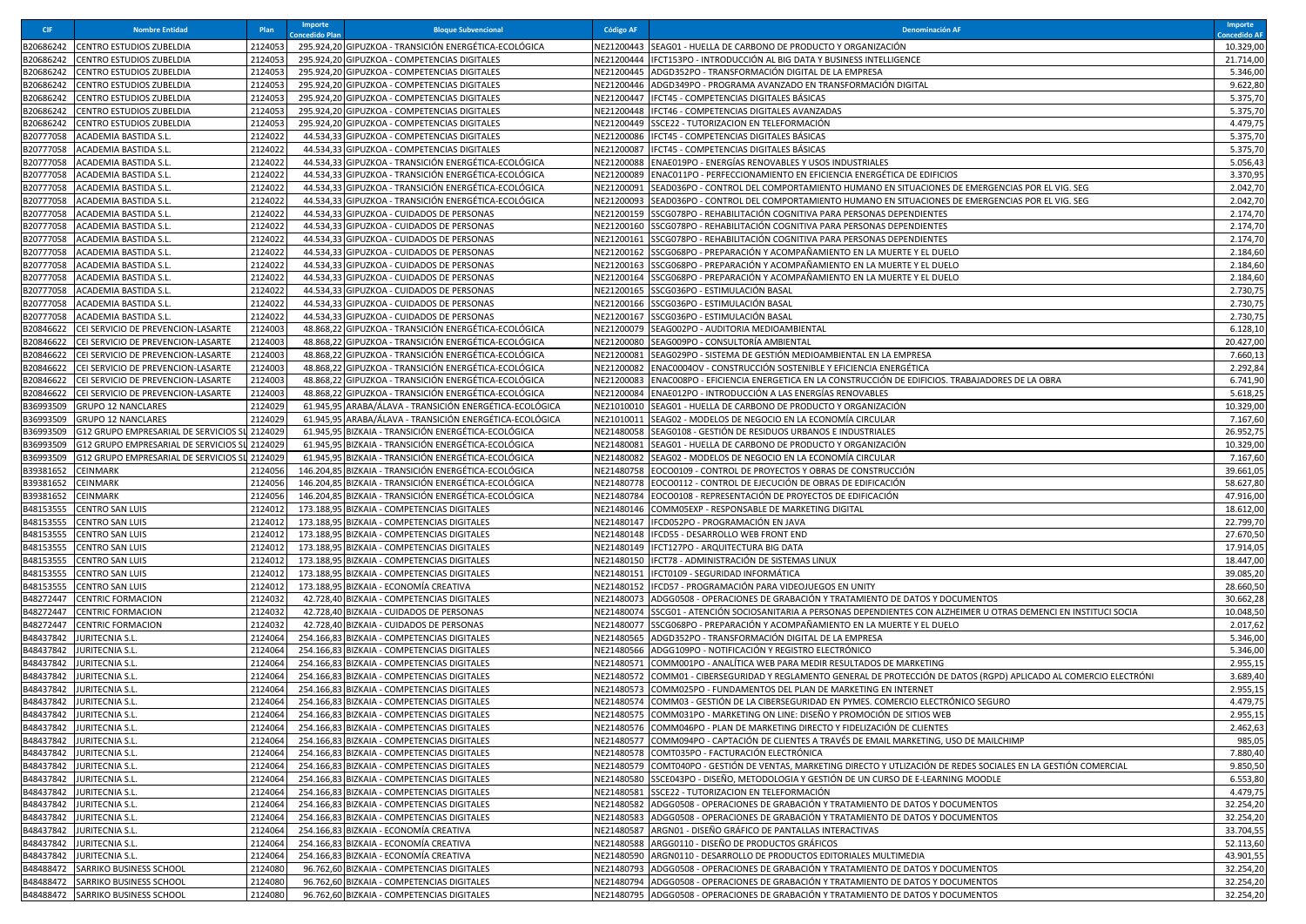| <b>CIF</b>             | <b>Nombre Entidad</b>                             | Plan               | Importe<br>oncedido Plar | <b>Bloque Subvencional</b>                                                                                   | <b>Código AF</b>         | <b>Denominación AF</b>                                                                                                                                                    | <b>Importe</b><br>oncedido Al |
|------------------------|---------------------------------------------------|--------------------|--------------------------|--------------------------------------------------------------------------------------------------------------|--------------------------|---------------------------------------------------------------------------------------------------------------------------------------------------------------------------|-------------------------------|
| B20686242              | <b>CENTRO ESTUDIOS ZUBELDIA</b>                   | 2124053            |                          | 295.924,20 GIPUZKOA - TRANSICIÓN ENERGÉTICA-ECOLÓGICA                                                        | VE21200443               | SEAG01 - HUELLA DE CARBONO DE PRODUCTO Y ORGANIZACIÓN                                                                                                                     | 10.329,00                     |
| B20686242              | CENTRO ESTUDIOS ZUBELDIA                          | 2124053            |                          | 295.924,20 GIPUZKOA - COMPETENCIAS DIGITALES                                                                 | NE21200444               | IFCT153PO - INTRODUCCIÓN AL BIG DATA Y BUSINESS INTELLIGENCE                                                                                                              | 21.714,00                     |
| B20686242              | <b>CENTRO ESTUDIOS ZUBELDIA</b>                   | 2124053            |                          | 295.924,20 GIPUZKOA - COMPETENCIAS DIGITALES                                                                 | NE21200445               | ADGD352PO - TRANSFORMACIÓN DIGITAL DE LA EMPRESA                                                                                                                          | 5.346,00                      |
| B20686242              | CENTRO ESTUDIOS ZUBELDIA                          | 2124053            |                          | 295.924,20 GIPUZKOA - COMPETENCIAS DIGITALES                                                                 |                          | NE21200446  ADGD349PO - PROGRAMA AVANZADO EN TRANSFORMACIÓN DIGITAL                                                                                                       | 9.622,80                      |
| B20686242              | CENTRO ESTUDIOS ZUBELDIA                          | 2124053            |                          | 295.924,20 GIPUZKOA - COMPETENCIAS DIGITALES                                                                 | NE21200447               | IFCT45 - COMPETENCIAS DIGITALES BÁSICAS                                                                                                                                   | 5.375,70                      |
| B20686242              | CENTRO ESTUDIOS ZUBELDIA                          | 2124053            |                          | 295.924,20 GIPUZKOA - COMPETENCIAS DIGITALES                                                                 | NE21200448               | IFCT46 - COMPETENCIAS DIGITALES AVANZADAS                                                                                                                                 | 5.375,70                      |
| B20686242<br>B20777058 | CENTRO ESTUDIOS ZUBELDIA<br>ACADEMIA BASTIDA S.L. | 2124053<br>2124022 |                          | 295.924,20 GIPUZKOA - COMPETENCIAS DIGITALES<br>44.534,33 GIPUZKOA - COMPETENCIAS DIGITALES                  | NE21200449<br>VE21200086 | SSCE22 - TUTORIZACION EN TELEFORMACIÓN<br>IFCT45 - COMPETENCIAS DIGITALES BÁSICAS                                                                                         | 4.479,75<br>5.375,70          |
| B20777058              | ACADEMIA BASTIDA S.L                              | 2124022            |                          | 44.534,33 GIPUZKOA - COMPETENCIAS DIGITALES                                                                  | VE21200087               | IFCT45 - COMPETENCIAS DIGITALES BÁSICAS                                                                                                                                   | 5.375,70                      |
| B20777058              | ACADEMIA BASTIDA S.L                              | 2124022            |                          | 44.534,33 GIPUZKOA - TRANSICIÓN ENERGÉTICA-ECOLÓGICA                                                         | NE21200088               | ENAE019PO - ENERGÍAS RENOVABLES Y USOS INDUSTRIALES                                                                                                                       | 5.056,43                      |
| B20777058              | ACADEMIA BASTIDA S.L                              | 2124022            |                          | 44.534,33 GIPUZKOA - TRANSICIÓN ENERGÉTICA-ECOLÓGICA                                                         | NE21200089               | ENAC011PO - PERFECCIONAMIENTO EN EFICIENCIA ENERGÉTICA DE EDIFICIOS                                                                                                       | 3.370,95                      |
| B20777058              | <b>ACADEMIA BASTIDA S.L</b>                       | 2124022            |                          | 44.534,33 GIPUZKOA - TRANSICIÓN ENERGÉTICA-ECOLÓGICA                                                         | NE21200091               | SEAD036PO - CONTROL DEL COMPORTAMIENTO HUMANO EN SITUACIONES DE EMERGENCIAS POR EL VIG. SEG                                                                               | 2.042,70                      |
| B20777058              | ACADEMIA BASTIDA S.L                              | 2124022            |                          | 44.534,33 GIPUZKOA - TRANSICIÓN ENERGÉTICA-ECOLÓGICA                                                         | NE21200093               | SEAD036PO - CONTROL DEL COMPORTAMIENTO HUMANO EN SITUACIONES DE EMERGENCIAS POR EL VIG. SEG                                                                               | 2.042,70                      |
| B20777058              | ACADEMIA BASTIDA S.L                              | 2124022            |                          | 44.534,33 GIPUZKOA - CUIDADOS DE PERSONAS                                                                    | NE21200159               | SSCG078PO - REHABILITACIÓN COGNITIVA PARA PERSONAS DEPENDIENTES                                                                                                           | 2.174,70                      |
| B20777058              | ACADEMIA BASTIDA S.L                              | 2124022            |                          | 44.534,33 GIPUZKOA - CUIDADOS DE PERSONAS                                                                    | NE21200160               | SSCG078PO - REHABILITACIÓN COGNITIVA PARA PERSONAS DEPENDIENTES                                                                                                           | 2.174,70                      |
| B20777058              | ACADEMIA BASTIDA S.L                              | 2124022            |                          | 44.534,33 GIPUZKOA - CUIDADOS DE PERSONAS                                                                    | NE21200161               | SSCG078PO - REHABILITACIÓN COGNITIVA PARA PERSONAS DEPENDIENTES                                                                                                           | 2.174,70                      |
| B20777058              | ACADEMIA BASTIDA S.L                              | 2124022            |                          | 44.534,33 GIPUZKOA - CUIDADOS DE PERSONAS                                                                    | VE21200162               | SSCG068PO - PREPARACIÓN Y ACOMPAÑAMIENTO EN LA MUERTE Y EL DUELO                                                                                                          | 2.184,60                      |
| B20777058              | ACADEMIA BASTIDA S.L                              | 2124022            |                          | 44.534,33 GIPUZKOA - CUIDADOS DE PERSONAS                                                                    | NE21200163               | SSCG068PO - PREPARACIÓN Y ACOMPAÑAMIENTO EN LA MUERTE Y EL DUELO                                                                                                          | 2.184,60                      |
| B20777058              | ACADEMIA BASTIDA S.L                              | 2124022            |                          | 44.534,33 GIPUZKOA - CUIDADOS DE PERSONAS                                                                    | NE21200164               | SSCG068PO - PREPARACIÓN Y ACOMPAÑAMIENTO EN LA MUERTE Y EL DUELO                                                                                                          | 2.184,60                      |
| B20777058              | ACADEMIA BASTIDA S.L                              | 2124022            |                          | 44.534,33 GIPUZKOA - CUIDADOS DE PERSONAS                                                                    | VE21200165               | SSCG036PO - ESTIMULACIÓN BASAL                                                                                                                                            | 2.730,75                      |
| B20777058<br>B20777058 | ACADEMIA BASTIDA S.L<br>ACADEMIA BASTIDA S.L.     | 2124022<br>2124022 |                          | 44.534,33 GIPUZKOA - CUIDADOS DE PERSONAS<br>44.534,33 GIPUZKOA - CUIDADOS DE PERSONAS                       | VE21200166<br>NE21200167 | SSCG036PO - ESTIMULACIÓN BASAL<br>SSCG036PO - ESTIMULACIÓN BASAL                                                                                                          | 2.730,75<br>2.730,75          |
| B20846622              | CEI SERVICIO DE PREVENCION-LASARTE                | 2124003            |                          | 48.868,22 GIPUZKOA - TRANSICIÓN ENERGÉTICA-ECOLÓGICA                                                         | NE21200079               | SEAG002PO - AUDITORIA MEDIOAMBIENTAL                                                                                                                                      | 6.128,10                      |
| B20846622              | CEI SERVICIO DE PREVENCION-LASARTE                | 2124003            |                          | 48.868,22 GIPUZKOA - TRANSICIÓN ENERGÉTICA-ECOLÓGICA                                                         | NE21200080               | SEAG009PO - CONSULTORÍA AMBIENTAL                                                                                                                                         | 20.427,00                     |
| B20846622              | CEI SERVICIO DE PREVENCION-LASARTE                | 2124003            |                          | 48.868,22 GIPUZKOA - TRANSICIÓN ENERGÉTICA-ECOLÓGICA                                                         | VE21200081               | SEAG029PO - SISTEMA DE GESTIÓN MEDIOAMBIENTAL EN LA EMPRESA                                                                                                               | 7.660,13                      |
| B20846622              | CEI SERVICIO DE PREVENCION-LASARTE                | 2124003            |                          | 48.868,22 GIPUZKOA - TRANSICIÓN ENERGÉTICA-ECOLÓGICA                                                         | NE21200082               | ENAC0004OV - CONSTRUCCIÓN SOSTENIBLE Y EFICIENCIA ENERGÉTICA                                                                                                              | 2.292,84                      |
| B20846622              | CEI SERVICIO DE PREVENCION-LASARTE                | 2124003            |                          | 48.868,22 GIPUZKOA - TRANSICIÓN ENERGÉTICA-ECOLÓGICA                                                         | NE21200083               | ENAC008PO - EFICIENCIA ENERGETICA EN LA CONSTRUCCIÓN DE EDIFICIOS. TRABAJADORES DE LA OBRA                                                                                | 6.741,90                      |
| B20846622              | CEI SERVICIO DE PREVENCION-LASARTE                | 2124003            |                          | 48.868,22 GIPUZKOA - TRANSICIÓN ENERGÉTICA-ECOLOGICA                                                         | NE21200084               | ENAE012PO - INTRODUCCIÓN A LAS ENERGÍAS RENOVABLES                                                                                                                        | 5.618,25                      |
| B36993509              | <b>GRUPO 12 NANCLARES</b>                         | 2124029            |                          | 61.945,95 ARABA/ÁLAVA - TRANSICIÓN ENERGÉTICA-ECOLÓGICA                                                      | NE21010010               | SEAG01 - HUELLA DE CARBONO DE PRODUCTO Y ORGANIZACIÓN                                                                                                                     | 10.329,00                     |
| B36993509              | GRUPO 12 NANCLARES                                | 2124029            |                          | 61.945,95 ARABA/ÁLAVA - TRANSICIÓN ENERGÉTICA-ECOLÓGICA                                                      | NE21010011               | SEAG02 - MODELOS DE NEGOCIO EN LA ECONOMÍA CIRCULAR                                                                                                                       | 7.167,60                      |
| B36993509              | G12 GRUPO EMPRESARIAL DE SERVICIOS S              | 2124029            |                          | 61.945,95 BIZKAIA - TRANSICIÓN ENERGÉTICA-ECOLÓGICA                                                          | NE21480058               | SEAG0108 - GESTIÓN DE RESIDUOS URBANOS E INDUSTRIALES                                                                                                                     | 26.952,75                     |
| B36993509              | G12 GRUPO EMPRESARIAL DE SERVICIOS SL             | 2124029            |                          | 61.945,95 BIZKAIA - TRANSICIÓN ENERGÉTICA-ECOLÓGICA                                                          | NE21480081               | SEAG01 - HUELLA DE CARBONO DE PRODUCTO Y ORGANIZACIÓN                                                                                                                     | 10.329,00                     |
| B36993509              | G12 GRUPO EMPRESARIAL DE SERVICIOS SI             | 2124029            |                          | 61.945,95 BIZKAIA - TRANSICIÓN ENERGÉTICA-ECOLÓGICA                                                          | NE21480082               | SEAG02 - MODELOS DE NEGOCIO EN LA ECONOMÍA CIRCULAR                                                                                                                       | 7.167,60                      |
| B39381652              | CEINMARK                                          | 2124056<br>2124056 |                          | 146.204,85 BIZKAIA - TRANSICIÓN ENERGÉTICA-ECOLÓGICA                                                         | VE21480758<br>NE21480778 | EOCO0109 - CONTROL DE PROYECTOS Y OBRAS DE CONSTRUCCIÓN                                                                                                                   | 39.661,05                     |
| B39381652<br>B39381652 | CEINMARK<br>CEINMARK                              | 2124056            |                          | 146.204,85 BIZKAIA - TRANSICIÓN ENERGÉTICA-ECOLÓGICA<br>146.204,85 BIZKAIA - TRANSICIÓN ENERGÉTICA-ECOLÓGICA | NE21480784               | EOCO0112 - CONTROL DE EJECUCIÓN DE OBRAS DE EDIFICACIÓN<br>EOCO0108 - REPRESENTACIÓN DE PROYECTOS DE EDIFICACIÓN                                                          | 58.627,80<br>47.916,00        |
| B48153555              | <b>CENTRO SAN LUIS</b>                            | 2124012            |                          | 173.188,95 BIZKAIA - COMPETENCIAS DIGITALES                                                                  | NE21480146               | COMM05EXP - RESPONSABLE DE MARKETING DIGITAL                                                                                                                              | 18.612,00                     |
| B48153555              | CENTRO SAN LUIS                                   | 2124012            |                          | 173.188,95 BIZKAIA - COMPETENCIAS DIGITALES                                                                  | VE21480147               | IFCD052PO - PROGRAMACIÓN EN JAVA                                                                                                                                          | 22.799,70                     |
| B48153555              | <b>CENTRO SAN LUIS</b>                            | 212401             |                          | 173.188,95 BIZKAIA - COMPETENCIAS DIGITALES                                                                  | NE21480148               | IFCD55 - DESARROLLO WEB FRONT END                                                                                                                                         | 27.670,50                     |
| B48153555              | <b>CENTRO SAN LUIS</b>                            | 2124012            |                          | 173.188,95 BIZKAIA - COMPETENCIAS DIGITALES                                                                  | NE21480149               | IFCT127PO - ARQUITECTURA BIG DATA                                                                                                                                         | 17.914,0                      |
| B48153555              | <b>CENTRO SAN LUIS</b>                            | 2124012            |                          | 173.188,95 BIZKAIA - COMPETENCIAS DIGITALES                                                                  | VE21480150               | IFCT78 - ADMINISTRACIÓN DE SISTEMAS LINUX                                                                                                                                 | 18.447,00                     |
| B48153555              | CENTRO SAN LUIS                                   | 2124012            |                          | 173.188,95 BIZKAIA - COMPETENCIAS DIGITALES                                                                  | VE21480151               | IFCT0109 - SEGURIDAD INFORMÁTICA                                                                                                                                          | 39.085,20                     |
| B48153555              | <b>CENTRO SAN LUIS</b>                            | 2124012            |                          | 173.188,95 BIZKAIA - ECONOMÍA CREATIVA                                                                       | NE21480152               | IFCD57 - PROGRAMACIÓN PARA VIDEOJUEGOS EN UNITY                                                                                                                           | 28.660,50                     |
| B48272447              | <b>CENTRIC FORMACION</b>                          | 2124032            |                          | 42.728,40 BIZKAIA - COMPETENCIAS DIGITALES                                                                   | NE21480073               | ADGG0508 - OPERACIONES DE GRABACIÓN Y TRATAMIENTO DE DATOS Y DOCUMENTOS                                                                                                   | 30.662,28                     |
| B48272447              | <b>CENTRIC FORMACION</b>                          | 2124032            |                          | 42.728,40 BIZKAIA - CUIDADOS DE PERSONAS                                                                     | NE21480074               | SSCG01 - ATENCIÓN SOCIOSANITARIA A PERSONAS DEPENDIENTES CON ALZHEIMER U OTRAS DEMENCI EN INSTITUCI SOCIA                                                                 | 10.048,50                     |
| B48272447              | <b>CENTRIC FORMACION</b>                          | 2124032            |                          | 42.728,40 BIZKAIA - CUIDADOS DE PERSONAS                                                                     | VE21480077               | SSCG068PO - PREPARACIÓN Y ACOMPAÑAMIENTO EN LA MUERTE Y EL DUELO                                                                                                          | 2.017,62                      |
| B48437842              | URITECNIA S.L.                                    | 2124064            |                          | 254.166,83 BIZKAIA - COMPETENCIAS DIGITALES                                                                  | NE21480565               | ADGD352PO - TRANSFORMACIÓN DIGITAL DE LA EMPRESA                                                                                                                          | 5.346,00                      |
| B48437842              | JURITECNIA S.L.                                   | 2124064            |                          | 254.166,83 BIZKAIA - COMPETENCIAS DIGITALES                                                                  | NE21480566               | ADGG109PO - NOTIFICACIÓN Y REGISTRO ELECTRÓNICO                                                                                                                           | 5.346,00                      |
| B48437842<br>B48437842 | JURITECNIA S.L.<br>JURITECNIA S.L                 | 2124064<br>2124064 |                          | 254.166,83 BIZKAIA - COMPETENCIAS DIGITALES<br>254.166,83 BIZKAIA - COMPETENCIAS DIGITALES                   | NE21480571<br>VE21480572 | COMM001PO - ANALITICA WEB PARA MEDIR RESULTADOS DE MARKETING<br>COMM01 - CIBERSEGURIDAD Y REGLAMENTO GENERAL DE PROTECCIÓN DE DATOS (RGPD) APLICADO AL COMERCIO ELECTRÓNI | 2.955,1<br>3.689,40           |
| B48437842              | JURITECNIA S.L.                                   | 2124064            |                          | 254.166,83 BIZKAIA - COMPETENCIAS DIGITALES                                                                  | VE21480573               | COMM025PO - FUNDAMENTOS DEL PLAN DE MARKETING EN INTERNET                                                                                                                 | 2.955,15                      |
| B48437842              | <b>JURITECNIA S.L</b>                             | 2124064            |                          | 254.166,83 BIZKAIA - COMPETENCIAS DIGITALES                                                                  | NE21480574               | COMM03 - GESTIÓN DE LA CIBERSEGURIDAD EN PYMES. COMERCIO ELECTRÓNICO SEGURO                                                                                               | 4.479,75                      |
|                        | B48437842 JURITECNIA S.L                          | 2124064            |                          | 254 166 83 BIZKAIA - COMPETENCIAS DIGITALES                                                                  |                          | NE21480575 COMM031PO - MARKETING ON LINE: DISEÑO Y PROMOCIÓN DE SITIOS WEB                                                                                                | 2.955,15                      |
|                        | B48437842 JURITECNIA S.L.                         | 2124064            |                          | 254.166,83 BIZKAIA - COMPETENCIAS DIGITALES                                                                  |                          | NE21480576 COMM046PO - PLAN DE MARKETING DIRECTO Y FIDELIZACIÓN DE CLIENTES                                                                                               | 2.462,63                      |
|                        | B48437842 JURITECNIA S.L.                         | 2124064            |                          | 254.166,83 BIZKAIA - COMPETENCIAS DIGITALES                                                                  | NE21480577               | COMM094PO - CAPTACIÓN DE CLIENTES A TRAVÉS DE EMAIL MARKETING, USO DE MAILCHIMP                                                                                           | 985,05                        |
|                        | B48437842 JURITECNIA S.L.                         | 2124064            |                          | 254.166,83 BIZKAIA - COMPETENCIAS DIGITALES                                                                  | NE21480578               | COMT035PO - FACTURACIÓN ELECTRÓNICA                                                                                                                                       | 7.880,40                      |
| B48437842              | <b>JURITECNIA S.L</b>                             | 2124064            |                          | 254.166,83 BIZKAIA - COMPETENCIAS DIGITALES                                                                  | NE21480579               | COMT040PO - GESTIÓN DE VENTAS, MARKETING DIRECTO Y UTLIZACIÓN DE REDES SOCIALES EN LA GESTIÓN COMERCIAL                                                                   | 9.850,50                      |
| B48437842              | JURITECNIA S.L                                    | 2124064            |                          | 254.166,83 BIZKAIA - COMPETENCIAS DIGITALES                                                                  | NE21480580               | SSCE043PO - DISEÑO, METODOLOGIA Y GESTIÓN DE UN CURSO DE E-LEARNING MOODLE                                                                                                | 6.553,80                      |
| B48437842              | JURITECNIA S.L.                                   | 2124064            |                          | 254.166,83 BIZKAIA - COMPETENCIAS DIGITALES                                                                  | VE21480581               | SSCE22 - TUTORIZACION EN TELEFORMACIÓN                                                                                                                                    | 4.479,75                      |
| B48437842              | JURITECNIA S.L.                                   | 2124064            |                          | 254.166,83 BIZKAIA - COMPETENCIAS DIGITALES                                                                  | NE21480582               | ADGG0508 - OPERACIONES DE GRABACIÓN Y TRATAMIENTO DE DATOS Y DOCUMENTOS                                                                                                   | 32.254,20                     |
| B48437842              | <b>JURITECNIA S.L</b>                             | 2124064            |                          | 254.166,83 BIZKAIA - COMPETENCIAS DIGITALES                                                                  | NE21480583               | ADGG0508 - OPERACIONES DE GRABACIÓN Y TRATAMIENTO DE DATOS Y DOCUMENTOS                                                                                                   | 32.254,20                     |
| B48437842              | JURITECNIA S.L.                                   | 2124064            |                          | 254.166,83 BIZKAIA - ECONOMÍA CREATIVA                                                                       | VE21480587               | ARGN01 - DISEÑO GRÁFICO DE PANTALLAS INTERACTIVAS                                                                                                                         | 33.704,55                     |
| B48437842              | JURITECNIA S.L.<br>B48437842 JURITECNIA S.L.      | 2124064            |                          | 254.166,83 BIZKAIA - ECONOMÍA CREATIVA                                                                       | NE21480588               | ARGG0110 - DISEÑO DE PRODUCTOS GRÁFICOS                                                                                                                                   | 52.113,60                     |
| B48488472              | SARRIKO BUSINESS SCHOOL                           | 2124064<br>2124080 |                          | 254.166,83 BIZKAIA - ECONOMÍA CREATIVA<br>96.762,60 BIZKAIA - COMPETENCIAS DIGITALES                         | NE21480590<br>NE21480793 | ARGN0110 - DESARROLLO DE PRODUCTOS EDITORIALES MULTIMEDIA<br>ADGG0508 - OPERACIONES DE GRABACIÓN Y TRATAMIENTO DE DATOS Y DOCUMENTOS                                      | 43.901,55<br>32.254,20        |
|                        | B48488472 SARRIKO BUSINESS SCHOOL                 | 2124080            |                          | 96.762.60 BIZKAIA - COMPETENCIAS DIGITALES                                                                   |                          | NE21480794 ADGG0508 - OPERACIONES DE GRABACIÓN Y TRATAMIENTO DE DATOS Y DOCUMENTOS                                                                                        | 32.254,20                     |
|                        | B48488472 SARRIKO BUSINESS SCHOOL                 | 2124080            |                          | 96.762,60 BIZKAIA - COMPETENCIAS DIGITALES                                                                   |                          | NE21480795 ADGG0508 - OPERACIONES DE GRABACIÓN Y TRATAMIENTO DE DATOS Y DOCUMENTOS                                                                                        | 32.254,20                     |
|                        |                                                   |                    |                          |                                                                                                              |                          |                                                                                                                                                                           |                               |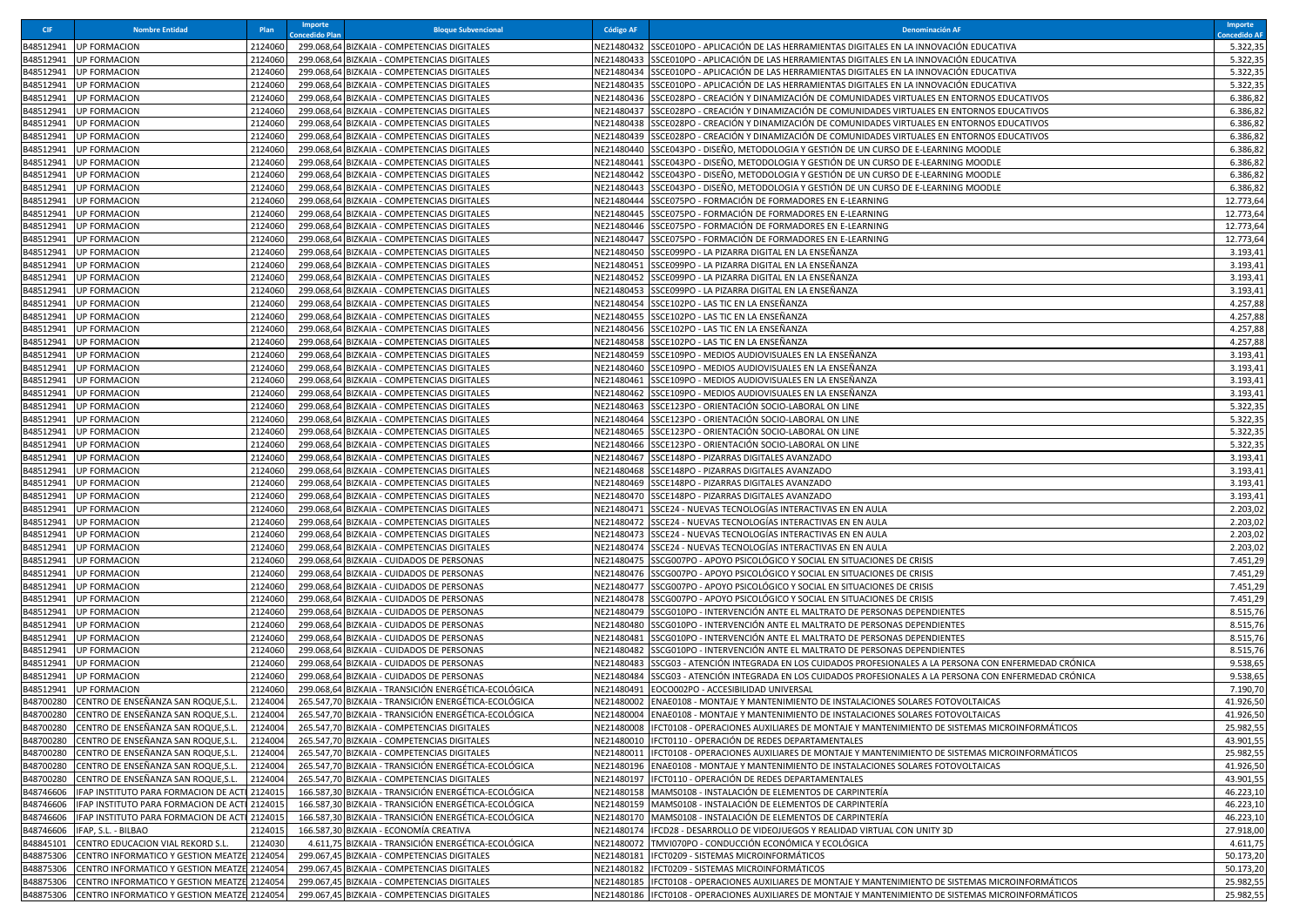| <b>CIF</b> | <b>Nombre Entidad</b>                                                                       | Plan               | Importe<br>oncedido Plar | <b>Bloque Subvencional</b>                                                                 | <b>Código AF</b>         | Denominación AF                                                                                                                                                            | Importe<br>oncedido AF |
|------------|---------------------------------------------------------------------------------------------|--------------------|--------------------------|--------------------------------------------------------------------------------------------|--------------------------|----------------------------------------------------------------------------------------------------------------------------------------------------------------------------|------------------------|
|            | 348512941 UP FORMACION                                                                      | 2124060            |                          | 299.068,64 BIZKAIA - COMPETENCIAS DIGITALES                                                |                          | VE21480432 SSCE010PO - APLICACIÓN DE LAS HERRAMIENTAS DIGITALES EN LA INNOVACIÓN EDUCATIVA                                                                                 | 5.322,35               |
|            | B48512941 UP FORMACION                                                                      | 2124060            | 299.068,64               | BIZKAIA - COMPETENCIAS DIGITALES                                                           | NE21480433               | SSCE010PO - APLICACIÓN DE LAS HERRAMIENTAS DIGITALES EN LA INNOVACIÓN EDUCATIVA                                                                                            | 5.322,35               |
|            | 348512941 UP FORMACION                                                                      | 2124060            | 299.068,64               | BIZKAIA - COMPETENCIAS DIGITALES                                                           |                          | NE21480434 SSCE010PO - APLICACIÓN DE LAS HERRAMIENTAS DIGITALES EN LA INNOVACIÓN EDUCATIVA                                                                                 | 5.322,35               |
|            | B48512941 UP FORMACION                                                                      | 2124060            | 299.068,64               | BIZKAIA - COMPETENCIAS DIGITALES                                                           | VE21480435               | SSCE010PO - APLICACIÓN DE LAS HERRAMIENTAS DIGITALES EN LA INNOVACIÓN EDUCATIVA                                                                                            | 5.322,35               |
| 348512941  | <b>UP FORMACION</b>                                                                         | 2124060            | 299.068,64               | BIZKAIA - COMPETENCIAS DIGITALES                                                           | NE21480436               | SSCE028PO - CREACIÓN Y DINAMIZACIÓN DE COMUNIDADES VIRTUALES EN ENTORNOS EDUCATIVOS                                                                                        | 6.386,82               |
|            | B48512941 UP FORMACION                                                                      | 2124060            | 299.068,64               | BIZKAIA - COMPETENCIAS DIGITALES                                                           | NE21480437               | SSCE028PO - CREACIÓN Y DINAMIZACIÓN DE COMUNIDADES VIRTUALES EN ENTORNOS EDUCATIVOS                                                                                        | 6.386,82               |
|            | B48512941 UP FORMACION<br>B48512941 UP FORMACION                                            | 2124060<br>2124060 | 299.068,64<br>299.068,64 | BIZKAIA - COMPETENCIAS DIGITALES<br>BIZKAIA - COMPETENCIAS DIGITALES                       | NE21480438<br>NE21480439 | SSCE028PO - CREACIÓN Y DINAMIZACIÓN DE COMUNIDADES VIRTUALES EN ENTORNOS EDUCATIVOS<br>SSCE028PO - CREACIÓN Y DINAMIZACIÓN DE COMUNIDADES VIRTUALES EN ENTORNOS EDUCATIVOS | 6.386,82<br>6.386,82   |
|            | B48512941 UP FORMACION                                                                      | 2124060            | 299.068,64               | BIZKAIA - COMPETENCIAS DIGITALES                                                           | VE21480440               | SSCE043PO - DISEÑO, METODOLOGIA Y GESTIÓN DE UN CURSO DE E-LEARNING MOODLE                                                                                                 | 6.386,82               |
| B48512941  | <b>UP FORMACION</b>                                                                         | 2124060            | 299.068,64               | BIZKAIA - COMPETENCIAS DIGITALES                                                           | NE21480441               | SSCE043PO - DISEÑO, METODOLOGIA Y GESTIÓN DE UN CURSO DE E-LEARNING MOODLE                                                                                                 | 6.386,82               |
|            | B48512941 UP FORMACION                                                                      | 2124060            | 299.068,64               | BIZKAIA - COMPETENCIAS DIGITALES                                                           | NE21480442               | SSCE043PO - DISEÑO, METODOLOGIA Y GESTIÓN DE UN CURSO DE E-LEARNING MOODLE                                                                                                 | 6.386,82               |
| 348512941  | <b>UP FORMACION</b>                                                                         | 2124060            | 299.068,64               | BIZKAIA - COMPETENCIAS DIGITALES                                                           | NE21480443               | SSCE043PO - DISEÑO, METODOLOGIA Y GESTIÓN DE UN CURSO DE E-LEARNING MOODLE                                                                                                 | 6.386,82               |
| 348512941  | <b>UP FORMACION</b>                                                                         | 2124060            | 299.068,64               | BIZKAIA - COMPETENCIAS DIGITALES                                                           | NE21480444               | SSCE075PO - FORMACIÓN DE FORMADORES EN E-LEARNING                                                                                                                          | 12.773,64              |
|            | B48512941 UP FORMACION                                                                      | 2124060            | 299.068,64               | BIZKAIA - COMPETENCIAS DIGITALES                                                           | NE21480445               | SSCE075PO - FORMACIÓN DE FORMADORES EN E-LEARNING                                                                                                                          | 12.773,64              |
|            | B48512941 UP FORMACION                                                                      | 2124060            | 299.068,64               | BIZKAIA - COMPETENCIAS DIGITALES                                                           | NE21480446               | SSCE075PO - FORMACIÓN DE FORMADORES EN E-LEARNING                                                                                                                          | 12.773,64              |
|            | B48512941 UP FORMACION                                                                      | 2124060            | 299.068,64               | BIZKAIA - COMPETENCIAS DIGITALES                                                           | NE21480447               | SSCE075PO - FORMACIÓN DE FORMADORES EN E-LEARNING                                                                                                                          | 12.773,64              |
|            | B48512941 UP FORMACION                                                                      | 2124060            | 299.068,64               | BIZKAIA - COMPETENCIAS DIGITALES                                                           | VE21480450               | SSCE099PO - LA PIZARRA DIGITAL EN LA ENSEÑANZA                                                                                                                             | 3.193,41               |
|            | B48512941 UP FORMACION                                                                      | 2124060            | 299.068,64               | BIZKAIA - COMPETENCIAS DIGITALES                                                           | NE21480451               | SSCE099PO - LA PIZARRA DIGITAL EN LA ENSEÑANZA                                                                                                                             | 3.193,41               |
|            | B48512941 UP FORMACION<br>B48512941 UP FORMACION                                            | 2124060<br>2124060 | 299.068,64<br>299.068,64 | BIZKAIA - COMPETENCIAS DIGITALES<br>BIZKAIA - COMPETENCIAS DIGITALES                       | NE21480452<br>NE21480453 | SSCE099PO - LA PIZARRA DIGITAL EN LA ENSEÑANZA<br>SSCE099PO - LA PIZARRA DIGITAL EN LA ENSEÑANZA                                                                           | 3.193,41<br>3.193,41   |
|            | B48512941 UP FORMACION                                                                      | 2124060            |                          | 299.068,64 BIZKAIA - COMPETENCIAS DIGITALES                                                |                          | NE21480454  SSCE102PO - LAS TIC EN LA ENSEÑANZA                                                                                                                            | 4.257,88               |
| 348512941  | <b>UP FORMACION</b>                                                                         | 2124060            | 299.068,64               | BIZKAIA - COMPETENCIAS DIGITALES                                                           | NE21480455               | SSCE102PO - LAS TIC EN LA ENSEÑANZA                                                                                                                                        | 4.257,88               |
|            | B48512941 UP FORMACION                                                                      | 2124060            | 299.068,64               | BIZKAIA - COMPETENCIAS DIGITALES                                                           | NE21480456               | SSCE102PO - LAS TIC EN LA ENSEÑANZA                                                                                                                                        | 4.257,88               |
|            | 348512941 UP FORMACION                                                                      | 2124060            | 299.068,64               | BIZKAIA - COMPETENCIAS DIGITALES                                                           | NE21480458               | SSCE102PO - LAS TIC EN LA ENSEÑANZA                                                                                                                                        | 4.257,88               |
|            | B48512941 UP FORMACION                                                                      | 2124060            | 299.068,64               | BIZKAIA - COMPETENCIAS DIGITALES                                                           |                          | NE21480459 SSCE109PO - MEDIOS AUDIOVISUALES EN LA ENSEÑANZA                                                                                                                | 3.193,41               |
| B48512941  | <b>UP FORMACION</b>                                                                         | 2124060            | 299.068,64               | BIZKAIA - COMPETENCIAS DIGITALES                                                           | NE21480460               | SSCE109PO - MEDIOS AUDIOVISUALES EN LA ENSEÑANZA                                                                                                                           | 3.193,41               |
|            | B48512941 UP FORMACION                                                                      | 2124060            | 299.068,64               | BIZKAIA - COMPETENCIAS DIGITALES                                                           | NE21480461               | SSCE109PO - MEDIOS AUDIOVISUALES EN LA ENSEÑANZA                                                                                                                           | 3.193,41               |
| 348512941  | <b>UP FORMACION</b>                                                                         | 2124060            | 299.068,64               | BIZKAIA - COMPETENCIAS DIGITALES                                                           | NE21480462               | SSCE109PO - MEDIOS AUDIOVISUALES EN LA ENSEÑANZA                                                                                                                           | 3.193,41               |
|            | B48512941 UP FORMACION                                                                      | 2124060            | 299.068,64               | BIZKAIA - COMPETENCIAS DIGITALES                                                           |                          | NE21480463 SSCE123PO - ORIENTACIÓN SOCIO-LABORAL ON LINE                                                                                                                   | 5.322,35               |
|            | B48512941 UP FORMACION                                                                      | 2124060            | 299.068,64               | BIZKAIA - COMPETENCIAS DIGITALES                                                           |                          | NE21480464 SSCE123PO - ORIENTACIÓN SOCIO-LABORAL ON LINE                                                                                                                   | 5.322,35               |
|            | B48512941 UP FORMACION                                                                      | 2124060            | 299.068,6                | BIZKAIA - COMPETENCIAS DIGITALES                                                           | NE21480465               | SSCE123PO - ORIENTACIÓN SOCIO-LABORAL ON LINE                                                                                                                              | 5.322,35               |
|            | B48512941 UP FORMACION<br>B48512941 UP FORMACION                                            | 2124060<br>2124060 | 299.068,64<br>299.068,64 | BIZKAIA - COMPETENCIAS DIGITALES<br>BIZKAIA - COMPETENCIAS DIGITALES                       |                          | NE21480466 SSCE123PO - ORIENTACIÓN SOCIO-LABORAL ON LINE<br>NE21480467 SSCE148PO - PIZARRAS DIGITALES AVANZADO                                                             | 5.322,35<br>3.193,41   |
|            | B48512941 UP FORMACION                                                                      | 2124060            | 299.068,64               | BIZKAIA - COMPETENCIAS DIGITALES                                                           | NE21480468               | SSCE148PO - PIZARRAS DIGITALES AVANZADO                                                                                                                                    | 3.193,41               |
|            | B48512941 UP FORMACION                                                                      | 2124060            | 299.068,64               | BIZKAIA - COMPETENCIAS DIGITALES                                                           | NE21480469               | SSCE148PO - PIZARRAS DIGITALES AVANZADO                                                                                                                                    | 3.193,41               |
|            | B48512941 UP FORMACION                                                                      | 2124060            | 299.068,64               | BIZKAIA - COMPETENCIAS DIGITALES                                                           | NE21480470               | SSCE148PO - PIZARRAS DIGITALES AVANZADO                                                                                                                                    | 3.193,41               |
|            | B48512941 UP FORMACION                                                                      | 2124060            |                          | 299.068,64 BIZKAIA - COMPETENCIAS DIGITALES                                                | NE21480471               | SSCE24 - NUEVAS TECNOLOGÍAS INTERACTIVAS EN EN AULA                                                                                                                        | 2.203,02               |
|            | B48512941 UP FORMACION                                                                      | 2124060            |                          | 299.068,64 BIZKAIA - COMPETENCIAS DIGITALES                                                | VE21480472               | SSCE24 - NUEVAS TECNOLOGÍAS INTERACTIVAS EN EN AULA                                                                                                                        | 2.203,02               |
| B48512941  | <b>UP FORMACION</b>                                                                         | 2124060            | 299.068,64               | BIZKAIA - COMPETENCIAS DIGITALES                                                           | NE21480473               | SSCE24 - NUEVAS TECNOLOGÍAS INTERACTIVAS EN EN AULA                                                                                                                        | 2.203,02               |
|            | B48512941 UP FORMACION                                                                      | 2124060            | 299.068,64               | BIZKAIA - COMPETENCIAS DIGITALES                                                           | NE21480474               | SSCE24 - NUEVAS TECNOLOGÍAS INTERACTIVAS EN EN AULA                                                                                                                        | 2.203,02               |
|            | B48512941 UP FORMACION                                                                      | 2124060            | 299.068,64               | BIZKAIA - CUIDADOS DE PERSONAS                                                             |                          | NE21480475 SSCG007PO - APOYO PSICOLÓGICO Y SOCIAL EN SITUACIONES DE CRISIS                                                                                                 | 7.451,29               |
| 348512941  | <b>UP FORMACION</b>                                                                         | 2124060<br>2124060 |                          | 299.068,64 BIZKAIA - CUIDADOS DE PERSONAS                                                  | NE21480476<br>NE21480477 | SSCG007PO - APOYO PSICOLÓGICO Y SOCIAL EN SITUACIONES DE CRISIS                                                                                                            | 7.451,29               |
|            | B48512941 UP FORMACION<br>B48512941 UP FORMACION                                            | 2124060            | 299.068,64<br>299.068,64 | BIZKAIA - CUIDADOS DE PERSONAS<br>BIZKAIA - CUIDADOS DE PERSONAS                           | NE21480478               | SSCG007PO - APOYO PSICOLÓGICO Y SOCIAL EN SITUACIONES DE CRISIS<br>SSCG007PO - APOYO PSICOLÓGICO Y SOCIAL EN SITUACIONES DE CRISIS                                         | 7.451,29<br>7.451,29   |
|            | B48512941 UP FORMACION                                                                      | 2124060            | 299.068,64               | BIZKAIA - CUIDADOS DE PERSONAS                                                             | NE21480479               | SSCG010PO - INTERVENCIÓN ANTE EL MALTRATO DE PERSONAS DEPENDIENTES                                                                                                         | 8.515,76               |
|            | B48512941 UP FORMACION                                                                      | 2124060            |                          | 299.068,64 BIZKAIA - CUIDADOS DE PERSONAS                                                  |                          | VE21480480  SSCG010PO - INTERVENCIÓN ANTE EL MALTRATO DE PERSONAS DEPENDIENTES                                                                                             | 8.515,76               |
| B48512941  | <b>UP FORMACION</b>                                                                         | 2124060            | 299.068,64               | BIZKAIA - CUIDADOS DE PERSONAS                                                             | NE21480481               | SSCG010PO - INTERVENCIÓN ANTE EL MALTRATO DE PERSONAS DEPENDIENTES                                                                                                         | 8.515,76               |
|            | B48512941 UP FORMACION                                                                      | 2124060            | 299.068,64               | BIZKAIA - CUIDADOS DE PERSONAS                                                             | NE21480482               | SSCG010PO - INTERVENCIÓN ANTE EL MALTRATO DE PERSONAS DEPENDIENTES                                                                                                         | 8.515,76               |
|            | B48512941 UP FORMACION                                                                      | 2124060            | 299.068,64               | BIZKAIA - CUIDADOS DE PERSONAS                                                             | NE21480483               | SSCG03 - ATENCIÓN INTEGRADA EN LOS CUIDADOS PROFESIONALES A LA PERSONA CON ENFERMEDAD CRÓNICA                                                                              | 9.538,65               |
|            | B48512941 UP FORMACION                                                                      | 2124060            |                          | 299.068,64 BIZKAIA - CUIDADOS DE PERSONAS                                                  |                          | NE21480484 SSCG03 - ATENCIÓN INTEGRADA EN LOS CUIDADOS PROFESIONALES A LA PERSONA CON ENFERMEDAD CRÓNICA                                                                   | 9.538,65               |
|            | B48512941 UP FORMACION                                                                      | 2124060            | 299.068,64               | BIZKAIA - TRANSICIÓN ENERGÉTICA-ECOLÓGICA                                                  | NE21480491               | EOCO002PO - ACCESIBILIDAD UNIVERSAL                                                                                                                                        | 7.190,70               |
|            | B48700280 CENTRO DE ENSEÑANZA SAN ROQUE,S.L.                                                | 2124004            |                          | 265.547,70 BIZKAIA - TRANSICIÓN ENERGÉTICA-ECOLÓGICA                                       | NE21480002               | ENAE0108 - MONTAJE Y MANTENIMIENTO DE INSTALACIONES SOLARES FOTOVOLTAICAS                                                                                                  | 41.926,50              |
|            | B48700280 CENTRO DE ENSEÑANZA SAN ROQUE.S.L. 2124004                                        |                    |                          | 265 547 70 BIZKAIA - TRANSICIÓN ENFRGÉTICA-FCOLÓGICA                                       |                          | NE21480004 ENAE0108 - MONTAJE Y MANTENIMIENTO DE INSTALACIONES SOLARES FOTOVOLTAICAS                                                                                       | 41.926,50              |
|            | B48700280 CENTRO DE ENSEÑANZA SAN ROQUE,S.L.                                                | 2124004            |                          | 265.547,70 BIZKAIA - COMPETENCIAS DIGITALES                                                |                          | NE21480008  IFCT0108 - OPERACIONES AUXILIARES DE MONTAJE Y MANTENIMIENTO DE SISTEMAS MICROINFORMÁTICOS<br>IFCT0110 - OPERACIÓN DE REDES DEPARTAMENTALES                    | 25.982,55              |
|            | B48700280 CENTRO DE ENSEÑANZA SAN ROQUE,S.L.<br>B48700280 CENTRO DE ENSEÑANZA SAN ROQUE,S.L | 2124004<br>2124004 |                          | 265.547,70 BIZKAIA - COMPETENCIAS DIGITALES<br>265.547,70 BIZKAIA - COMPETENCIAS DIGITALES | NE21480010<br>NE21480011 | IFCT0108 - OPERACIONES AUXILIARES DE MONTAJE Y MANTENIMIENTO DE SISTEMAS MICROINFORMÁTICOS                                                                                 | 43.901,55<br>25.982,55 |
|            | B48700280 CENTRO DE ENSEÑANZA SAN ROQUE,S.L.                                                | 2124004            | 265.547,70               | BIZKAIA - TRANSICIÓN ENERGÉTICA-ECOLÓGICA                                                  | NE21480196               | ENAE0108 - MONTAJE Y MANTENIMIENTO DE INSTALACIONES SOLARES FOTOVOLTAICAS                                                                                                  | 41.926,50              |
| 348700280  | CENTRO DE ENSEÑANZA SAN ROQUE, S.L.                                                         | 2124004            | 265.547,70               | BIZKAIA - COMPETENCIAS DIGITALES                                                           | NE21480197               | IFCT0110 - OPERACIÓN DE REDES DEPARTAMENTALES                                                                                                                              | 43.901,55              |
|            | <b>B48746606 IFAP INSTITUTO PARA FORMACION DE ACT</b>                                       | 2124015            |                          | 166.587,30 BIZKAIA - TRANSICIÓN ENERGÉTICA-ECOLÓGICA                                       | VE21480158               | MAMS0108 - INSTALACIÓN DE ELEMENTOS DE CARPINTERÍA                                                                                                                         | 46.223,10              |
| B48746606  | IFAP INSTITUTO PARA FORMACION DE ACT                                                        | 2124015            | 166.587,3                | BIZKAIA - TRANSICIÓN ENERGÉTICA-ECOLÓGICA                                                  | NE21480159               | MAMS0108 - INSTALACIÓN DE ELEMENTOS DE CARPINTERÍA                                                                                                                         | 46.223,10              |
| B48746606  | IFAP INSTITUTO PARA FORMACION DE ACT                                                        | 2124015            | 166.587,30               | BIZKAIA - TRANSICIÓN ENERGÉTICA-ECOLÓGICA                                                  | NE21480170               | MAMS0108 - INSTALACIÓN DE ELEMENTOS DE CARPINTERÍA                                                                                                                         | 46.223,10              |
| B48746606  | IFAP, S.L. - BILBAO                                                                         | 2124015            | 166.587,30               | BIZKAIA - ECONOMÍA CREATIVA                                                                | NE21480174               | IFCD28 - DESARROLLO DE VIDEOJUEGOS Y REALIDAD VIRTUAL CON UNITY 3D                                                                                                         | 27.918,00              |
| B48845101  | CENTRO EDUCACION VIAL REKORD S.L.                                                           | 2124030            |                          | 4.611,75 BIZKAIA - TRANSICIÓN ENERGÉTICA-ECOLÓGICA                                         | NE21480072               | TMVI070PO - CONDUCCIÓN ECONÓMICA Y ECOLÓGICA                                                                                                                               | 4.611,75               |
| B48875306  | CENTRO INFORMATICO Y GESTION MEATZE 2124054                                                 |                    |                          | 299.067,45 BIZKAIA - COMPETENCIAS DIGITALES                                                | NE21480181               | IFCT0209 - SISTEMAS MICROINFORMÁTICOS                                                                                                                                      | 50.173,20              |
|            | B48875306 CENTRO INFORMATICO Y GESTION MEATZE 2124054                                       |                    |                          | 299.067,45 BIZKAIA - COMPETENCIAS DIGITALES                                                | NE21480182               | IFCT0209 - SISTEMAS MICROINFORMÁTICOS                                                                                                                                      | 50.173,20              |
|            | B48875306 CENTRO INFORMATICO Y GESTION MEATZE 2124054                                       |                    |                          | 299.067,45 BIZKAIA - COMPETENCIAS DIGITALES                                                | NE21480185               | IFCT0108 - OPERACIONES AUXILIARES DE MONTAJE Y MANTENIMIENTO DE SISTEMAS MICROINFORMÁTICOS                                                                                 | 25.982,55              |
|            | B48875306 CENTRO INFORMATICO Y GESTION MEATZE 2124054                                       |                    |                          | 299.067,45 BIZKAIA - COMPETENCIAS DIGITALES                                                |                          | NE21480186 IFCT0108 - OPERACIONES AUXILIARES DE MONTAJE Y MANTENIMIENTO DE SISTEMAS MICROINFORMÁTICOS                                                                      | 25.982,55              |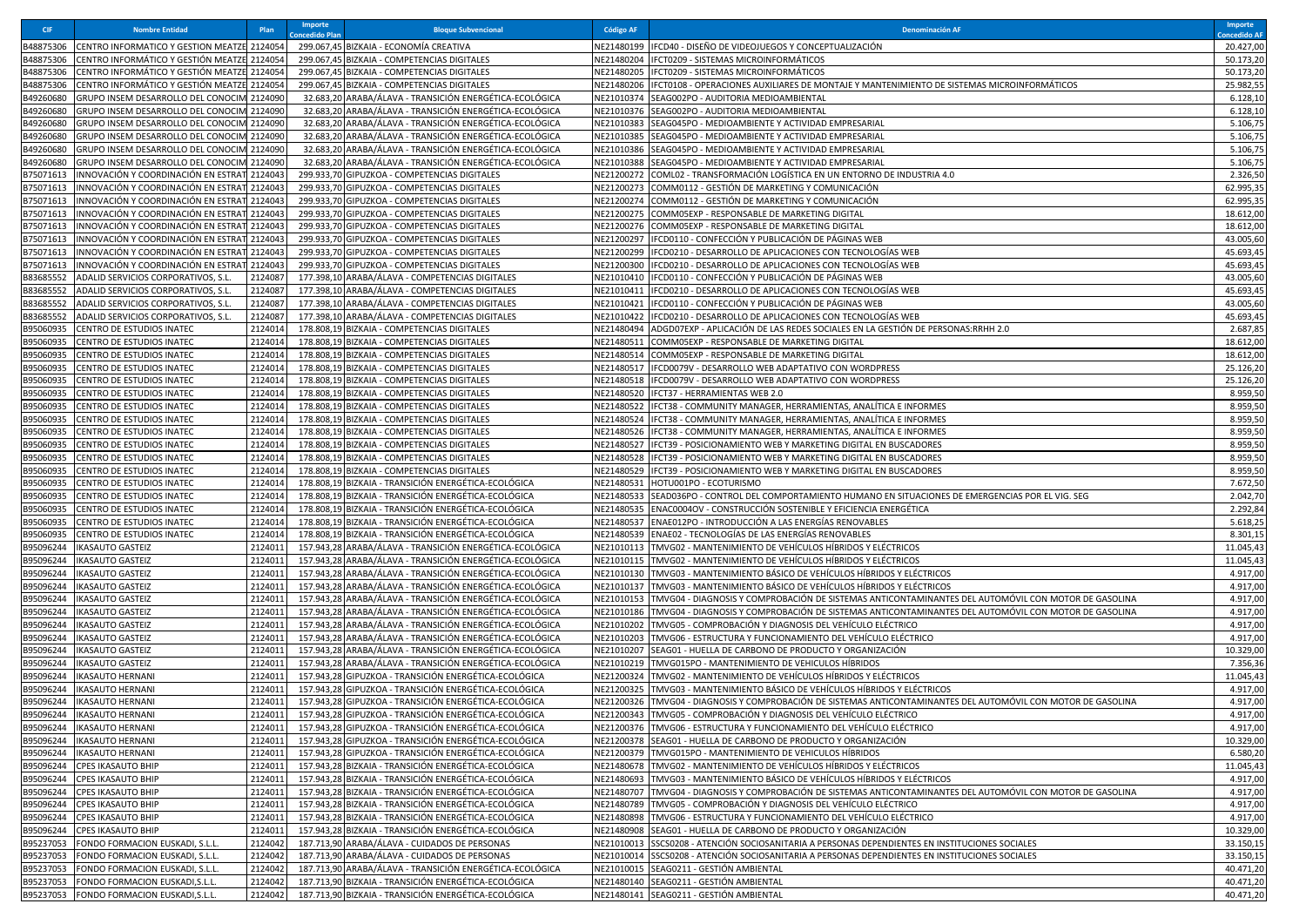| <b>CIF</b>             | <b>Nombre Entidad</b>                                                      | Plan               | Importe<br>pncedido Plai | <b>Bloque Subvencional</b>                                                                                       | <b>Código AF</b>         | <b>Denominación AF</b>                                                                                                  | Importe<br>oncedido Al |
|------------------------|----------------------------------------------------------------------------|--------------------|--------------------------|------------------------------------------------------------------------------------------------------------------|--------------------------|-------------------------------------------------------------------------------------------------------------------------|------------------------|
| B48875306              | CENTRO INFORMATICO Y GESTION MEATZE 2124054                                |                    |                          | 299.067,45 BIZKAIA - ECONOMÍA CREATIVA                                                                           |                          | NE21480199 IFCD40 - DISEÑO DE VIDEOJUEGOS Y CONCEPTUALIZACIÓN                                                           | 20.427,00              |
| B48875306              | CENTRO INFORMÁTICO Y GESTIÓN MEATZE                                        | 2124054            |                          | 299.067,45 BIZKAIA - COMPETENCIAS DIGITALES                                                                      | NE21480204               | IFCT0209 - SISTEMAS MICROINFORMÁTICOS                                                                                   | 50.173,20              |
| B48875306              | CENTRO INFORMÁTICO Y GESTIÓN MEATZE 2124054                                |                    |                          | 299.067,45 BIZKAIA - COMPETENCIAS DIGITALES                                                                      | NE21480205               | IFCT0209 - SISTEMAS MICROINFORMÁTICOS                                                                                   | 50.173,20              |
| B48875306              | CENTRO INFORMÁTICO Y GESTIÓN MEATZE 2124054                                |                    |                          | 299.067,45 BIZKAIA - COMPETENCIAS DIGITALES                                                                      | NE21480206               | IFCT0108 - OPERACIONES AUXILIARES DE MONTAJE Y MANTENIMIENTO DE SISTEMAS MICROINFORMÁTICOS                              | 25.982,55              |
| B49260680              | GRUPO INSEM DESARROLLO DEL CONOCIN                                         | 2124090            |                          | 32.683,20 ARABA/ÁLAVA - TRANSICIÓN ENERGÉTICA-ECOLÓGICA                                                          | NE21010374               | SEAG002PO - AUDITORIA MEDIOAMBIENTAI                                                                                    | 6.128,10               |
| B49260680              | GRUPO INSEM DESARROLLO DEL CONOCIM 2124090                                 |                    |                          | 32.683,20 ARABA/ÁLAVA - TRANSICIÓN ENERGÉTICA-ECOLÓGICA                                                          | NE21010376               | SEAG002PO - AUDITORIA MEDIOAMBIENTAL                                                                                    | 6.128,10               |
| B49260680              | GRUPO INSEM DESARROLLO DEL CONOCIM 2124090                                 |                    |                          | 32.683,20 ARABA/ÁLAVA - TRANSICIÓN ENERGÉTICA-ECOLÓGICA                                                          | NE21010383               | SEAG045PO - MEDIOAMBIENTE Y ACTIVIDAD EMPRESARIAL                                                                       | 5.106,75               |
| B49260680              | GRUPO INSEM DESARROLLO DEL CONOCIM 2124090                                 |                    |                          | 32.683,20 ARABA/ÁLAVA - TRANSICIÓN ENERGÉTICA-ECOLÓGICA                                                          | NE21010385               | SEAG045PO - MEDIOAMBIENTE Y ACTIVIDAD EMPRESARIAL                                                                       | 5.106,75               |
| B49260680              | GRUPO INSEM DESARROLLO DEL CONOCIN                                         | 2124090            |                          | 32.683,20 ARABA/ÁLAVA - TRANSICIÓN ENERGÉTICA-ECOLÓGICA                                                          | NE21010386               | SEAG045PO - MEDIOAMBIENTE Y ACTIVIDAD EMPRESARIAL                                                                       | 5.106,75               |
| B49260680              | GRUPO INSEM DESARROLLO DEL CONOCIM 2124090                                 |                    |                          | 32.683,20 ARABA/ÁLAVA - TRANSICIÓN ENERGÉTICA-ECOLÓGICA                                                          | NE21010388               | SEAG045PO - MEDIOAMBIENTE Y ACTIVIDAD EMPRESARIAL                                                                       | 5.106,75               |
| B75071613              | INNOVACIÓN Y COORDINACIÓN EN ESTRAT                                        | 2124043            |                          | 299.933,70 GIPUZKOA - COMPETENCIAS DIGITALES                                                                     | NE21200272               | COML02 - TRANSFORMACIÓN LOGÍSTICA EN UN ENTORNO DE INDUSTRIA 4.0                                                        | 2.326,50               |
| B75071613              | INNOVACIÓN Y COORDINACIÓN EN ESTRAT                                        | 2124043            |                          | 299.933,70 GIPUZKOA - COMPETENCIAS DIGITALES                                                                     | NE21200273               | COMM0112 - GESTIÓN DE MARKETING Y COMUNICACIÓN                                                                          | 62.995,35              |
| B75071613              | INNOVACIÓN Y COORDINACIÓN EN ESTRAT                                        | 2124043            |                          | 299.933,70 GIPUZKOA - COMPETENCIAS DIGITALES                                                                     | NE21200274               | COMM0112 - GESTIÓN DE MARKETING Y COMUNICACIÓN                                                                          | 62.995,35              |
| B75071613              | INNOVACIÓN Y COORDINACIÓN EN ESTRAT                                        | 2124043            |                          | 299.933,70 GIPUZKOA - COMPETENCIAS DIGITALES                                                                     | NE21200275               | COMM05EXP - RESPONSABLE DE MARKETING DIGITAL                                                                            | 18.612,00              |
| B75071613              | INNOVACIÓN Y COORDINACIÓN EN ESTRAT<br>INNOVACIÓN Y COORDINACIÓN EN ESTRAT | 2124043            |                          | 299.933,70 GIPUZKOA - COMPETENCIAS DIGITALES<br>299.933,70 GIPUZKOA - COMPETENCIAS DIGITALES                     | NE21200276               | COMM05EXP - RESPONSABLE DE MARKETING DIGITAL<br>IFCD0110 - CONFECCIÓN Y PUBLICACIÓN DE PÁGINAS WEB                      | 18.612,00<br>43.005,60 |
| B75071613<br>B75071613 | INNOVACIÓN Y COORDINACIÓN EN ESTRAT                                        | 2124043<br>2124043 |                          | 299.933,70 GIPUZKOA - COMPETENCIAS DIGITALES                                                                     | NE21200297<br>NE21200299 | IFCD0210 - DESARROLLO DE APLICACIONES CON TECNOLOGÍAS WEB                                                               | 45.693,45              |
| B75071613              | INNOVACIÓN Y COORDINACIÓN EN ESTRA                                         | 2124043            |                          | 299.933,70 GIPUZKOA - COMPETENCIAS DIGITALES                                                                     | NE21200300               | IFCD0210 - DESARROLLO DE APLICACIONES CON TECNOLOGÍAS WEB                                                               | 45.693,45              |
| B83685552              | ADALID SERVICIOS CORPORATIVOS, S.L                                         | 2124087            |                          | 177.398,10 ARABA/ÁLAVA - COMPETENCIAS DIGITALES                                                                  |                          | NE21010410 IFCD0110 - CONFECCIÓN Y PUBLICACIÓN DE PÁGINAS WEB                                                           | 43.005,60              |
| B83685552              | ADALID SERVICIOS CORPORATIVOS, S.L                                         | 2124087            |                          | 177.398,10 ARABA/ÁLAVA - COMPETENCIAS DIGITALES                                                                  |                          | NE21010411  IFCD0210 - DESARROLLO DE APLICACIONES CON TECNOLOGÍAS WEB                                                   | 45.693,45              |
| B83685552              | ADALID SERVICIOS CORPORATIVOS, S.L                                         | 2124087            |                          | 177.398,10 ARABA/ÁLAVA - COMPETENCIAS DIGITALES                                                                  | NE21010421               | IFCD0110 - CONFECCIÓN Y PUBLICACIÓN DE PÁGINAS WEB                                                                      | 43.005,60              |
| B83685552              | ADALID SERVICIOS CORPORATIVOS, S.L                                         | 2124087            |                          | 177.398,10 ARABA/ÁLAVA - COMPETENCIAS DIGITALES                                                                  | NE21010422               | IFCD0210 - DESARROLLO DE APLICACIONES CON TECNOLOGÍAS WEB                                                               | 45.693,45              |
| B95060935              | CENTRO DE ESTUDIOS INATEC                                                  | 2124014            |                          | 178.808,19 BIZKAIA - COMPETENCIAS DIGITALES                                                                      | NE21480494               | ADGD07EXP - APLICACIÓN DE LAS REDES SOCIALES EN LA GESTIÓN DE PERSONAS:RRHH 2.0                                         | 2.687,85               |
| B95060935              | CENTRO DE ESTUDIOS INATEC                                                  | 2124014            |                          | 178.808,19 BIZKAIA - COMPETENCIAS DIGITALES                                                                      | NE21480511               | COMM05EXP - RESPONSABLE DE MARKETING DIGITAL                                                                            | 18.612,00              |
| B95060935              | <b>CENTRO DE ESTUDIOS INATEC</b>                                           | 2124014            |                          | 178.808,19 BIZKAIA - COMPETENCIAS DIGITALES                                                                      | NE21480514               | COMM05EXP - RESPONSABLE DE MARKETING DIGITAL                                                                            | 18.612,00              |
| B95060935              | CENTRO DE ESTUDIOS INATEC                                                  | 2124014            |                          | 178.808,19 BIZKAIA - COMPETENCIAS DIGITALES                                                                      | NE21480517               | IFCD0079V - DESARROLLO WEB ADAPTATIVO CON WORDPRESS                                                                     | 25.126,20              |
| B95060935              | <b>CENTRO DE ESTUDIOS INATEC</b>                                           | 2124014            |                          | 178.808,19 BIZKAIA - COMPETENCIAS DIGITALES                                                                      | NE21480518               | IFCD0079V - DESARROLLO WEB ADAPTATIVO CON WORDPRESS                                                                     | 25.126,20              |
| B95060935              | CENTRO DE ESTUDIOS INATEC                                                  | 2124014            |                          | 178.808,19 BIZKAIA - COMPETENCIAS DIGITALES                                                                      |                          | NE21480520 IFCT37 - HERRAMIENTAS WEB 2.0                                                                                | 8.959,50               |
| B95060935              | CENTRO DE ESTUDIOS INATEC                                                  | 2124014            |                          | 178.808,19 BIZKAIA - COMPETENCIAS DIGITALES                                                                      | NE21480522               | IFCT38 - COMMUNITY MANAGER, HERRAMIENTAS, ANALÍTICA E INFORMES                                                          | 8.959,50               |
| B95060935              | CENTRO DE ESTUDIOS INATEC                                                  | 2124014            |                          | 178.808,19 BIZKAIA - COMPETENCIAS DIGITALES                                                                      | NE21480524               | IFCT38 - COMMUNITY MANAGER, HERRAMIENTAS, ANALÍTICA E INFORMES                                                          | 8.959,50               |
| B95060935              | CENTRO DE ESTUDIOS INATEC                                                  | 2124014            |                          | 178.808,19 BIZKAIA - COMPETENCIAS DIGITALES                                                                      | NE21480526               | IFCT38 - COMMUNITY MANAGER, HERRAMIENTAS, ANALÍTICA E INFORMES                                                          | 8.959,50               |
| B95060935              | CENTRO DE ESTUDIOS INATEC                                                  | 2124014            |                          | 178.808,19 BIZKAIA - COMPETENCIAS DIGITALES                                                                      | NE21480527               | IFCT39 - POSICIONAMIENTO WEB Y MARKETING DIGITAL EN BUSCADORES                                                          | 8.959,50               |
| B95060935              | CENTRO DE ESTUDIOS INATEC                                                  | 2124014            |                          | 178.808,19 BIZKAIA - COMPETENCIAS DIGITALES                                                                      |                          | NE21480528 IFCT39 - POSICIONAMIENTO WEB Y MARKETING DIGITAL EN BUSCADORES                                               | 8.959,50               |
| B95060935              | CENTRO DE ESTUDIOS INATEC                                                  | 2124014            |                          | 178.808,19 BIZKAIA - COMPETENCIAS DIGITALES                                                                      | NE21480529               | IFCT39 - POSICIONAMIENTO WEB Y MARKETING DIGITAL EN BUSCADORES                                                          | 8.959,50               |
| B95060935              | CENTRO DE ESTUDIOS INATEC                                                  | 2124014            |                          | 178.808,19 BIZKAIA - TRANSICIÓN ENERGÉTICA-ECOLÓGICA                                                             | NE21480531               | HOTU001PO - ECOTURISMO                                                                                                  | 7.672,50               |
| B95060935              | CENTRO DE ESTUDIOS INATEC                                                  | 2124014            |                          | 178.808,19 BIZKAIA - TRANSICIÓN ENERGÉTICA-ECOLÓGICA                                                             | NE21480533               | SEAD036PO - CONTROL DEL COMPORTAMIENTO HUMANO EN SITUACIONES DE EMERGENCIAS POR EL VIG. SEG                             | 2.042,70               |
| B95060935              | CENTRO DE ESTUDIOS INATEC                                                  | 2124014            |                          | 178.808,19 BIZKAIA - TRANSICIÓN ENERGÉTICA-ECOLÓGICA                                                             | NE21480535               | ENAC0004OV - CONSTRUCCIÓN SOSTENIBLE Y EFICIENCIA ENERGÉTICA                                                            | 2.292,84               |
| B95060935              | CENTRO DE ESTUDIOS INATEC                                                  | 2124014<br>2124014 |                          | 178.808,19 BIZKAIA - TRANSICIÓN ENERGÉTICA-ECOLÓGICA                                                             | NE21480537               | ENAE012PO - INTRODUCCIÓN A LAS ENERGÍAS RENOVABLES                                                                      | 5.618,25               |
| B95060935<br>B95096244 | CENTRO DE ESTUDIOS INATEC<br><b>IKASAUTO GASTEIZ</b>                       | 2124011            |                          | 178.808,19 BIZKAIA - TRANSICIÓN ENERGÉTICA-ECOLÓGICA<br>157.943,28 ARABA/ÁLAVA - TRANSICIÓN ENERGÉTICA-ECOLÓGICA | NE21480539<br>NE21010113 | ENAE02 - TECNOLOGÍAS DE LAS ENERGÍAS RENOVABLES<br>TMVG02 - MANTENIMIENTO DE VEHÍCULOS HÍBRIDOS Y ELÉCTRICOS            | 8.301,1<br>11.045,43   |
| B95096244              | <b>IKASAUTO GASTEIZ</b>                                                    | 2124011            |                          | 157.943,28 ARABA/ÁLAVA - TRANSICIÓN ENERGÉTICA-ECOLÓGICA                                                         |                          | NE21010115 TMVG02 - MANTENIMIENTO DE VEHÍCULOS HÍBRIDOS Y ELÉCTRICOS                                                    | 11.045,43              |
| B95096244              | <b>IKASAUTO GASTEIZ</b>                                                    | 2124011            |                          | 157.943,28 ARABA/ÁLAVA - TRANSICIÓN ENERGÉTICA-ECOLÓGICA                                                         | NE21010130               | TMVG03 - MANTENIMIENTO BÁSICO DE VEHÍCULOS HÍBRIDOS Y ELÉCTRICOS                                                        | 4.917,00               |
| B95096244              | <b>IKASAUTO GASTEIZ</b>                                                    | 2124011            |                          | 157.943,28 ARABA/ÁLAVA - TRANSICIÓN ENERGÉTICA-ECOLÓGICA                                                         |                          | NE21010137 TMVG03 - MANTENIMIENTO BÁSICO DE VEHÍCULOS HÍBRIDOS Y ELÉCTRICOS                                             | 4.917,00               |
| B95096244              | <b>IKASAUTO GASTEIZ</b>                                                    | 2124011            |                          | 157.943,28 ARABA/ÁLAVA - TRANSICIÓN ENERGÉTICA-ECOLÓGICA                                                         | NE21010153               | TMVG04 - DIAGNOSIS Y COMPROBACIÓN DE SISTEMAS ANTICONTAMINANTES DEL AUTOMÓVIL CON MOTOR DE GASOLINA                     | 4.917,00               |
| B95096244              | <b>IKASAUTO GASTEIZ</b>                                                    | 2124011            |                          | 157.943,28 ARABA/ÁLAVA - TRANSICIÓN ENERGÉTICA-ECOLÓGICA                                                         |                          | NE21010186 TMVG04 - DIAGNOSIS Y COMPROBACIÓN DE SISTEMAS ANTICONTAMINANTES DEL AUTOMÓVIL CON MOTOR DE GASOLINA          | 4.917,00               |
| B95096244              | <b>IKASAUTO GASTEIZ</b>                                                    | 2124011            |                          | 157.943,28 ARABA/ÁLAVA - TRANSICIÓN ENERGÉTICA-ECOLÓGICA                                                         |                          | NE21010202 TMVG05 - COMPROBACIÓN Y DIAGNOSIS DEL VEHÍCULO ELÉCTRICO                                                     | 4.917,00               |
| B95096244              | <b>IKASAUTO GASTEIZ</b>                                                    | 2124011            |                          | 157.943,28 ARABA/ÁLAVA - TRANSICIÓN ENERGÉTICA-ECOLÓGICA                                                         | NE21010203               | TMVG06 - ESTRUCTURA Y FUNCIONAMIENTO DEL VEHÍCULO ELÉCTRICO                                                             | 4.917,00               |
| B95096244              | <b>IKASAUTO GASTEIZ</b>                                                    | 2124011            |                          | 157.943,28 ARABA/ÁLAVA - TRANSICIÓN ENERGÉTICA-ECOLÓGICA                                                         | NE21010207               | SEAG01 - HUELLA DE CARBONO DE PRODUCTO Y ORGANIZACIÓN                                                                   | 10.329,00              |
| B95096244              | <b>IKASAUTO GASTEIZ</b>                                                    | 2124011            |                          | 157.943,28 ARABA/ÁLAVA - TRANSICIÓN ENERGÉTICA-ECOLÓGICA                                                         |                          | NE21010219 TMVG015PO - MANTENIMIENTO DE VEHICULOS HÍBRIDOS                                                              | 7.356,36               |
| B95096244              | <b>IKASAUTO HERNANI</b>                                                    | 2124011            |                          | 157.943,28 GIPUZKOA - TRANSICIÓN ENERGÉTICA-ECOLÓGICA                                                            | NE21200324               | TMVG02 - MANTENIMIENTO DE VEHÍCULOS HÍBRIDOS Y ELÉCTRICOS                                                               | 11.045,43              |
| B95096244              | <b>IKASAUTO HERNANI</b>                                                    | 2124011            |                          | 157.943,28 GIPUZKOA - TRANSICIÓN ENERGÉTICA-ECOLÓGICA                                                            |                          | NE21200325 TMVG03 - MANTENIMIENTO BÁSICO DE VEHÍCULOS HÍBRIDOS Y ELÉCTRICOS                                             | 4.917,00               |
| B95096244              | <b>IKASAUTO HERNANI</b>                                                    | 2124011            |                          | 157.943,28 GIPUZKOA - TRANSICIÓN ENERGÉTICA-ECOLÓGICA                                                            |                          | NE21200326 TMVG04 - DIAGNOSIS Y COMPROBACIÓN DE SISTEMAS ANTICONTAMINANTES DEL AUTOMÓVIL CON MOTOR DE GASOLINA          | 4.917,00               |
|                        | B95096244 IKASAUTO HERNANI                                                 | 2124011            |                          | 157.943.28 GIPUZKOA - TRANSICIÓN ENERGÉTICA-ECOLÓGICA                                                            |                          | NE21200343 TMVG05 - COMPROBACIÓN Y DIAGNOSIS DEL VEHÍCULO ELÉCTRICO                                                     | 4.917.00               |
|                        | B95096244 IKASAUTO HERNANI                                                 | 2124011            |                          | 157.943,28 GIPUZKOA - TRANSICIÓN ENERGÉTICA-ECOLÓGICA                                                            |                          | NE21200376   TMVG06 - ESTRUCTURA Y FUNCIONAMIENTO DEL VEHÍCULO ELÉCTRICO                                                | 4.917,00               |
|                        | B95096244   IKASAUTO HERNANI                                               | 2124011            |                          | 157.943,28 GIPUZKOA - TRANSICIÓN ENERGÉTICA-ECOLÓGICA                                                            | NE21200378               | SEAG01 - HUELLA DE CARBONO DE PRODUCTO Y ORGANIZACIÓN                                                                   | 10.329,00              |
|                        | B95096244   IKASAUTO HERNANI                                               | 2124011            |                          | 157.943,28 GIPUZKOA - TRANSICIÓN ENERGÉTICA-ECOLÓGICA                                                            |                          | NE21200379 TMVG015PO - MANTENIMIENTO DE VEHICULOS HÍBRIDOS                                                              | 6.580,20               |
|                        | B95096244 CPES IKASAUTO BHIP                                               | 2124011            |                          | 157.943,28 BIZKAIA - TRANSICIÓN ENERGÉTICA-ECOLÓGICA                                                             | NE21480678               | TMVG02 - MANTENIMIENTO DE VEHÍCULOS HÍBRIDOS Y ELÉCTRICOS                                                               | 11.045,43              |
| B95096244              | <b>CPES IKASAUTO BHIP</b>                                                  | 2124011            |                          | 157.943,28 BIZKAIA - TRANSICIÓN ENERGÉTICA-ECOLÓGICA                                                             | NE21480693               | TMVG03 - MANTENIMIENTO BÁSICO DE VEHÍCULOS HÍBRIDOS Y ELÉCTRICOS                                                        | 4.917,00               |
| B95096244              | <b>CPES IKASAUTO BHIP</b>                                                  | 2124011            |                          | 157.943,28 BIZKAIA - TRANSICIÓN ENERGÉTICA-ECOLÓGICA                                                             | NE21480707               | TMVG04 - DIAGNOSIS Y COMPROBACIÓN DE SISTEMAS ANTICONTAMINANTES DEL AUTOMÓVIL CON MOTOR DE GASOLINA                     | 4.917,00<br>4.917,00   |
| B95096244              | <b>CPES IKASAUTO BHIP</b><br><b>CPES IKASAUTO BHIP</b>                     | 2124011<br>2124011 |                          | 157.943,28 BIZKAIA - TRANSICIÓN ENERGÉTICA-ECOLÓGICA<br>157.943,28 BIZKAIA - TRANSICIÓN ENERGÉTICA-ECOLÓGICA     | NE21480789<br>NE21480898 | TMVG05 - COMPROBACIÓN Y DIAGNOSIS DEL VEHÍCULO ELÉCTRICO<br>TMVG06 - ESTRUCTURA Y FUNCIONAMIENTO DEL VEHÍCULO ELÉCTRICO | 4.917,00               |
| B95096244<br>B95096244 | <b>CPES IKASAUTO BHIP</b>                                                  | 2124011            |                          | 157.943,28 BIZKAIA - TRANSICIÓN ENERGÉTICA-ECOLÓGICA                                                             | NE21480908               | SEAG01 - HUELLA DE CARBONO DE PRODUCTO Y ORGANIZACIÓN                                                                   | 10.329,00              |
| B95237053              | FONDO FORMACION EUSKADI, S.L.L.                                            | 2124042            |                          | 187.713,90 ARABA/ÁLAVA - CUIDADOS DE PERSONAS                                                                    | NE21010013               | SSCS0208 - ATENCIÓN SOCIOSANITARIA A PERSONAS DEPENDIENTES EN INSTITUCIONES SOCIALES                                    | 33.150,15              |
| B95237053              | FONDO FORMACION EUSKADI, S.L.L                                             | 2124042            |                          | 187.713,90 ARABA/ÁLAVA - CUIDADOS DE PERSONAS                                                                    |                          | NE21010014 SSCS0208 - ATENCIÓN SOCIOSANITARIA A PERSONAS DEPENDIENTES EN INSTITUCIONES SOCIALES                         | 33.150,15              |
| B95237053              | FONDO FORMACION EUSKADI, S.L.L                                             | 2124042            |                          | 187.713,90 ARABA/ÁLAVA - TRANSICIÓN ENERGÉTICA-ECOLÓGICA                                                         |                          | NE21010015 SEAG0211 - GESTIÓN AMBIENTAL                                                                                 | 40.471,20              |
| B95237053              | FONDO FORMACION EUSKADI, S.L.L                                             | 2124042            |                          | 187.713,90 BIZKAIA - TRANSICIÓN ENERGÉTICA-ECOLÓGICA                                                             |                          | NE21480140 SEAG0211 - GESTIÓN AMBIENTAL                                                                                 | 40.471,20              |
|                        | B95237053 FONDO FORMACION EUSKADI, S.L.L.                                  | 2124042            |                          | 187.713,90 BIZKAIA - TRANSICIÓN ENERGÉTICA-ECOLÓGICA                                                             |                          | NE21480141 SEAG0211 - GESTIÓN AMBIENTAL                                                                                 | 40.471,20              |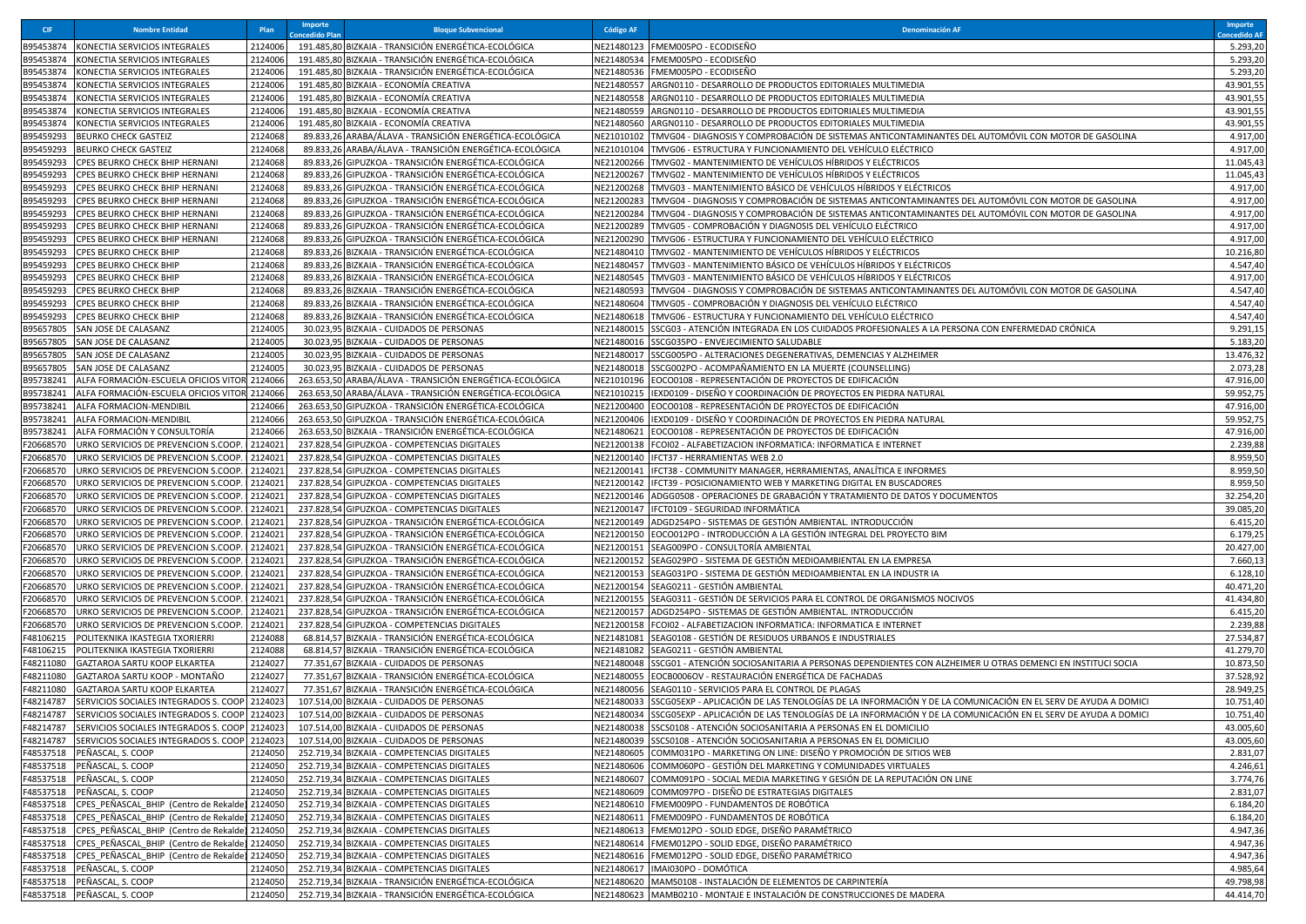| <b>CIF</b>             | <b>Nombre Entidad</b>                                                       | Plan               | Importe<br>oncedido Plar | <b>Bloque Subvencional</b>                                                                                      | <b>Código AF</b>         | <b>Denominación AR</b>                                                                                                   | Importe<br>ncedido Al  |
|------------------------|-----------------------------------------------------------------------------|--------------------|--------------------------|-----------------------------------------------------------------------------------------------------------------|--------------------------|--------------------------------------------------------------------------------------------------------------------------|------------------------|
| B95453874              | KONECTIA SERVICIOS INTEGRALES                                               | 2124006            |                          | 191.485,80 BIZKAIA - TRANSICIÓN ENERGÉTICA-ECOLÓGICA                                                            |                          | NE21480123 FMEM005PO - ECODISEÑO                                                                                         | 5.293,20               |
| B95453874              | KONECTIA SERVICIOS INTEGRALES                                               | 2124006            |                          | 191.485,80 BIZKAIA - TRANSICIÓN ENERGÉTICA-ECOLÓGICA                                                            | NE21480534               | FMEM005PO - ECODISEÑO                                                                                                    | 5.293,20               |
| B95453874              | KONECTIA SERVICIOS INTEGRALES                                               | 2124006            |                          | 191.485,80 BIZKAIA - TRANSICIÓN ENERGÉTICA-ECOLÓGICA                                                            | NE21480536               | FMEM005PO - ECODISEÑO                                                                                                    | 5.293,20               |
| B95453874              | KONECTIA SERVICIOS INTEGRALES                                               | 2124006            |                          | 191.485,80 BIZKAIA - ECONOMÍA CREATIVA                                                                          | VE21480557               | ARGN0110 - DESARROLLO DE PRODUCTOS EDITORIALES MULTIMEDIA                                                                | 43.901,5               |
| B95453874              | KONECTIA SERVICIOS INTEGRALES                                               | 2124006            |                          | 191.485,80 BIZKAIA - ECONOMÍA CREATIVA                                                                          | NE21480558               | ARGN0110 - DESARROLLO DE PRODUCTOS EDITORIALES MULTIMEDIA                                                                | 43.901,55              |
| B95453874              | KONECTIA SERVICIOS INTEGRALES                                               | 2124006            |                          | 191.485,80 BIZKAIA - ECONOMÍA CREATIVA                                                                          | NE21480559               | ARGN0110 - DESARROLLO DE PRODUCTOS EDITORIALES MULTIMEDIA                                                                | 43.901,5               |
| B95453874              | KONECTIA SERVICIOS INTEGRALES                                               | 2124006            |                          | 191.485,80 BIZKAIA - ECONOMÍA CREATIVA                                                                          | NE21480560               | ARGN0110 - DESARROLLO DE PRODUCTOS EDITORIALES MULTIMEDIA                                                                | 43.901,55              |
| B95459293              | <b>BEURKO CHECK GASTEIZ</b>                                                 | 2124068<br>2124068 |                          | 89.833,26 ARABA/ÁLAVA - TRANSICIÓN ENERGÉTICA-ECOLÓGICA                                                         | NE21010102               | TMVG04 - DIAGNOSIS Y COMPROBACIÓN DE SISTEMAS ANTICONTAMINANTES DEL AUTOMÓVIL CON MOTOR DE GASOLINA                      | 4.917,00               |
| B95459293<br>B95459293 | <b>BEURKO CHECK GASTEIZ</b><br>CPES BEURKO CHECK BHIP HERNANI               | 2124068            |                          | 89.833,26 ARABA/ÁLAVA - TRANSICIÓN ENERGÉTICA-ECOLÓGICA<br>89.833,26 GIPUZKOA - TRANSICIÓN ENERGÉTICA-ECOLÓGICA | NE21010104<br>NE21200266 | TMVG06 - ESTRUCTURA Y FUNCIONAMIENTO DEL VEHÍCULO ELÉCTRICO<br>TMVG02 - MANTENIMIENTO DE VEHÍCULOS HÍBRIDOS Y ELÉCTRICOS | 4.917,00<br>11.045,43  |
| B95459293              | CPES BEURKO CHECK BHIP HERNANI                                              | 2124068            |                          | 89.833,26 GIPUZKOA - TRANSICIÓN ENERGÉTICA-ECOLÓGICA                                                            | NE21200267               | TMVG02 - MANTENIMIENTO DE VEHÍCULOS HÍBRIDOS Y ELÉCTRICOS                                                                | 11.045,43              |
| B95459293              | CPES BEURKO CHECK BHIP HERNANI                                              | 2124068            |                          | 89.833,26 GIPUZKOA - TRANSICIÓN ENERGÉTICA-ECOLÓGICA                                                            | NE21200268               | TMVG03 - MANTENIMIENTO BÁSICO DE VEHÍCULOS HÍBRIDOS Y ELÉCTRICOS                                                         | 4.917,00               |
| B95459293              | CPES BEURKO CHECK BHIP HERNANI                                              | 2124068            |                          | 89.833,26 GIPUZKOA - TRANSICIÓN ENERGÉTICA-ECOLÓGICA                                                            | NE21200283               | TMVG04 - DIAGNOSIS Y COMPROBACIÓN DE SISTEMAS ANTICONTAMINANTES DEL AUTOMÓVIL CON MOTOR DE GASOLINA                      | 4.917,00               |
| B95459293              | CPES BEURKO CHECK BHIP HERNANI                                              | 2124068            |                          | 89.833,26 GIPUZKOA - TRANSICIÓN ENERGÉTICA-ECOLÓGICA                                                            | NE21200284               | TMVG04 - DIAGNOSIS Y COMPROBACIÓN DE SISTEMAS ANTICONTAMINANTES DEL AUTOMÓVIL CON MOTOR DE GASOLINA                      | 4.917,00               |
| B95459293              | CPES BEURKO CHECK BHIP HERNANI                                              | 2124068            |                          | 89.833,26 GIPUZKOA - TRANSICIÓN ENERGÉTICA-ECOLÓGICA                                                            | NE21200289               | TMVG05 - COMPROBACIÓN Y DIAGNOSIS DEL VEHÍCULO ELÉCTRICO                                                                 | 4.917,00               |
| B95459293              | CPES BEURKO CHECK BHIP HERNANI                                              | 2124068            |                          | 89.833,26 GIPUZKOA - TRANSICIÓN ENERGÉTICA-ECOLÓGICA                                                            | NE21200290               | TMVG06 - ESTRUCTURA Y FUNCIONAMIENTO DEL VEHÍCULO ELÉCTRICO                                                              | 4.917,00               |
| B95459293              | <b>CPES BEURKO CHECK BHIP</b>                                               | 2124068            |                          | 89.833,26 BIZKAIA - TRANSICIÓN ENERGÉTICA-ECOLÓGICA                                                             | VE21480410               | TMVG02 - MANTENIMIENTO DE VEHÍCULOS HÍBRIDOS Y ELÉCTRICOS                                                                | 10.216,80              |
| B95459293              | CPES BEURKO CHECK BHIP                                                      | 2124068            |                          | 89.833,26 BIZKAIA - TRANSICIÓN ENERGÉTICA-ECOLÓGICA                                                             | NE21480457               | TMVG03 - MANTENIMIENTO BÁSICO DE VEHÍCULOS HÍBRIDOS Y ELÉCTRICOS                                                         | 4.547,40               |
| B95459293              | <b>CPES BEURKO CHECK BHIP</b>                                               | 2124068            |                          | 89.833,26 BIZKAIA - TRANSICIÓN ENERGÉTICA-ECOLÓGICA                                                             | NE21480545               | TMVG03 - MANTENIMIENTO BÁSICO DE VEHÍCULOS HÍBRIDOS Y ELÉCTRICOS                                                         | 4.917,00               |
| B95459293              | CPES BEURKO CHECK BHIP                                                      | 2124068            |                          | 89.833,26 BIZKAIA - TRANSICIÓN ENERGÉTICA-ECOLÓGICA                                                             | NE21480593               | TMVG04 - DIAGNOSIS Y COMPROBACIÓN DE SISTEMAS ANTICONTAMINANTES DEL AUTOMÓVIL CON MOTOR DE GASOLINA                      | 4.547,40               |
| B95459293              | <b>CPES BEURKO CHECK BHIP</b>                                               | 2124068            |                          | 89.833,26 BIZKAIA - TRANSICIÓN ENERGÉTICA-ECOLÓGICA                                                             | NE21480604               | TMVG05 - COMPROBACIÓN Y DIAGNOSIS DEL VEHÍCULO ELÉCTRICO                                                                 | 4.547,40               |
| B95459293              | <b>CPES BEURKO CHECK BHIP</b>                                               | 2124068            |                          | 89.833,26 BIZKAIA - TRANSICIÓN ENERGÉTICA-ECOLÓGICA                                                             | VE21480618               | TMVG06 - ESTRUCTURA Y FUNCIONAMIENTO DEL VEHÍCULO ELÉCTRICO                                                              | 4.547,40               |
| B95657805              | SAN JOSE DE CALASANZ                                                        | 2124005            |                          | 30.023,95 BIZKAIA - CUIDADOS DE PERSONAS                                                                        | NE21480015               | SSCG03 - ATENCIÓN INTEGRADA EN LOS CUIDADOS PROFESIONALES A LA PERSONA CON ENFERMEDAD CRÓNICA                            | 9.291,15               |
| B95657805              | SAN JOSE DE CALASANZ                                                        | 2124005            |                          | 30.023,95 BIZKAIA - CUIDADOS DE PERSONAS                                                                        | NE21480016               | SSCG035PO - ENVEJECIMIENTO SALUDABLE                                                                                     | 5.183,20               |
| B95657805              | SAN JOSE DE CALASANZ                                                        | 2124005            |                          | 30.023,95 BIZKAIA - CUIDADOS DE PERSONAS                                                                        | NE21480017               | SSCG005PO - ALTERACIONES DEGENERATIVAS, DEMENCIAS Y ALZHEIMER                                                            | 13.476,32              |
| B95657805              | SAN JOSE DE CALASANZ                                                        | 2124005            |                          | 30.023,95 BIZKAIA - CUIDADOS DE PERSONAS                                                                        | NE21480018               | SSCG002PO - ACOMPAÑAMIENTO EN LA MUERTE (COUNSELLING)                                                                    | 2.073,28               |
| B95738241              | ALFA FORMACIÓN-ESCUELA OFICIOS VITOR                                        | 2124066            |                          | 263.653,50 ARABA/ÁLAVA - TRANSICIÓN ENERGÉTICA-ECOLÓGICA                                                        | NE21010196               | EOCO0108 - REPRESENTACIÓN DE PROYECTOS DE EDIFICACIÓN                                                                    | 47.916,00              |
| B95738241              | ALFA FORMACIÓN-ESCUELA OFICIOS VITOR 2124066                                |                    |                          | 263.653,50 ARABA/ÁLAVA - TRANSICIÓN ENERGÉTICA-ECOLÓGICA                                                        | NE21010215               | IEXD0109 - DISEÑO Y COORDINACIÓN DE PROYECTOS EN PIEDRA NATURAL                                                          | 59.952,75              |
| B95738241              | ALFA FORMACION-MENDIBIL                                                     | 2124066            |                          | 263.653,50 GIPUZKOA - TRANSICIÓN ENERGÉTICA-ECOLÓGICA                                                           | NE21200400               | EOCO0108 - REPRESENTACIÓN DE PROYECTOS DE EDIFICACIÓN                                                                    | 47.916,00              |
| B95738241              | ALFA FORMACION-MENDIBII                                                     | 2124066            |                          | 263.653,50 GIPUZKOA - TRANSICIÓN ENERGÉTICA-ECOLÓGICA<br>263.653.50 BIZKAIA - TRANSICIÓN ENERGÉTICA-ECOLÓGICA   | NE21200406               | IEXD0109 - DISEÑO Y COORDINACIÓN DE PROYECTOS EN PIEDRA NATURAL                                                          | 59.952,75              |
| B95738241              | ALFA FORMACIÓN Y CONSULTORÍA                                                | 2124066            |                          |                                                                                                                 | NE21480621               | EOCO0108 - REPRESENTACIÓN DE PROYECTOS DE EDIFICACIÓN                                                                    | 47.916,00              |
| F20668570<br>F20668570 | URKO SERVICIOS DE PREVENCION S.COOP.<br>URKO SERVICIOS DE PREVENCION S.COOP | 2124021<br>2124021 |                          | 237.828,54 GIPUZKOA - COMPETENCIAS DIGITALES<br>237.828,54 GIPUZKOA - COMPETENCIAS DIGITALES                    | NE21200138<br>VE21200140 | FCOI02 - ALFABETIZACION INFORMATICA: INFORMATICA E INTERNET<br>IFCT37 - HERRAMIENTAS WEB 2.0                             | 2.239,88<br>8.959,50   |
| F20668570              | URKO SERVICIOS DE PREVENCION S.COOP.                                        | 2124021            |                          | 237.828,54 GIPUZKOA - COMPETENCIAS DIGITALES                                                                    | VE21200141               | IFCT38 - COMMUNITY MANAGER, HERRAMIENTAS, ANALÍTICA E INFORMES                                                           | 8.959,50               |
| F20668570              | URKO SERVICIOS DE PREVENCION S.COOP.                                        | 2124021            |                          | 237.828,54 GIPUZKOA - COMPETENCIAS DIGITALES                                                                    | VE21200142               | IFCT39 - POSICIONAMIENTO WEB Y MARKETING DIGITAL EN BUSCADORES                                                           | 8.959,50               |
| F20668570              | URKO SERVICIOS DE PREVENCION S.COOP                                         | 212402:            |                          | 237.828,54 GIPUZKOA - COMPETENCIAS DIGITALES                                                                    | NE21200146               | ADGG0508 - OPERACIONES DE GRABACIÓN Y TRATAMIENTO DE DATOS Y DOCUMENTOS                                                  | 32.254,20              |
| F20668570              | URKO SERVICIOS DE PREVENCION S.COOP.                                        | 2124021            |                          | 237.828,54 GIPUZKOA - COMPETENCIAS DIGITALES                                                                    | NE21200147               | IFCT0109 - SEGURIDAD INFORMÁTICA                                                                                         | 39.085,20              |
| F20668570              | URKO SERVICIOS DE PREVENCION S.COOP.                                        | 2124021            |                          | 237.828,54 GIPUZKOA - TRANSICIÓN ENERGÉTICA-ECOLÓGICA                                                           |                          | NE21200149  ADGD254PO - SISTEMAS DE GESTIÓN AMBIENTAL. INTRODUCCIÓN                                                      | 6.415,20               |
| F20668570              | JRKO SERVICIOS DE PREVENCION S.COOP.                                        | 2124021            |                          | 237.828,54 GIPUZKOA - TRANSICIÓN ENERGÉTICA-ECOLÓGICA                                                           | NE21200150               | EOCO012PO - INTRODUCCIÓN A LA GESTIÓN INTEGRAL DEL PROYECTO BIM                                                          | 6.179,25               |
| F20668570              | URKO SERVICIOS DE PREVENCION S.COOP.                                        | 2124021            |                          | 237.828,54 GIPUZKOA - TRANSICIÓN ENERGÉTICA-ECOLÓGICA                                                           | NE21200151               | SEAG009PO - CONSULTORÍA AMBIENTAL                                                                                        | 20.427,00              |
| F20668570              | URKO SERVICIOS DE PREVENCION S.COOP.                                        | 2124021            |                          | 237.828,54 GIPUZKOA - TRANSICIÓN ENERGÉTICA-ECOLÓGICA                                                           | NE21200152               | SEAG029PO - SISTEMA DE GESTIÓN MEDIOAMBIENTAL EN LA EMPRESA                                                              | 7.660,13               |
| F20668570              | URKO SERVICIOS DE PREVENCION S.COOP.                                        | 2124021            |                          | 237.828,54 GIPUZKOA - TRANSICIÓN ENERGÉTICA-ECOLÓGICA                                                           | NE21200153               | SEAG031PO - SISTEMA DE GESTIÓN MEDIOAMBIENTAL EN LA INDUSTR IA                                                           | 6.128,10               |
| F20668570              | URKO SERVICIOS DE PREVENCION S.COOP.                                        | 2124021            |                          | 237.828,54 GIPUZKOA - TRANSICIÓN ENERGÉTICA-ECOLÓGICA                                                           | VE21200154               | SEAG0211 - GESTIÓN AMBIENTAL                                                                                             | 40.471,20              |
| F20668570              | JRKO SERVICIOS DE PREVENCION S.COOP.                                        | 2124021            |                          | 237.828,54 GIPUZKOA - TRANSICIÓN ENERGÉTICA-ECOLÓGICA                                                           | NE21200155               | SEAG0311 - GESTIÓN DE SERVICIOS PARA EL CONTROL DE ORGANISMOS NOCIVOS                                                    | 41.434,80              |
| F20668570              | JRKO SERVICIOS DE PREVENCION S.COOP.                                        | 2124021            |                          | 237.828,54 GIPUZKOA - TRANSICIÓN ENERGÉTICA-ECOLÓGICA                                                           | NE21200157               | ADGD254PO - SISTEMAS DE GESTIÓN AMBIENTAL. INTRODUCCIÓN                                                                  | 6.415,20               |
| F20668570              | URKO SERVICIOS DE PREVENCION S.COOP.                                        | 2124021            |                          | 237.828,54 GIPUZKOA - COMPETENCIAS DIGITALES                                                                    | NE21200158               | FCOI02 - ALFABETIZACION INFORMATICA: INFORMATICA E INTERNET                                                              | 2.239,88               |
| F48106215              | POLITEKNIKA IKASTEGIA TXORIERRI                                             | 2124088            |                          | 68.814,57 BIZKAIA - TRANSICIÓN ENERGÉTICA-ECOLÓGICA                                                             | NE21481081               | SEAG0108 - GESTIÓN DE RESIDUOS URBANOS E INDUSTRIALES                                                                    | 27.534,87              |
| F48106215              | POLITEKNIKA IKASTEGIA TXORIERRI                                             | 2124088            |                          | 68.814,57 BIZKAIA - TRANSICIÓN ENERGÉTICA-ECOLÓGICA                                                             | NE21481082               | SEAG0211 - GESTIÓN AMBIENTAL                                                                                             | 41.279,70              |
| F48211080              | GAZTAROA SARTU KOOP ELKARTEA<br>GAZTAROA SARTU KOOP - MONTAÑO               | 2124027<br>2124027 |                          | 77.351,67 BIZKAIA - CUIDADOS DE PERSONAS                                                                        | NE21480048               | SSCG01 - ATENCIÓN SOCIOSANITARIA A PERSONAS DEPENDIENTES CON ALZHEIMER U OTRAS DEMENCI EN INSTITUCI SOCIA                | 10.873,50              |
| F48211080<br>F48211080 | GAZTAROA SARTU KOOP ELKARTEA                                                | 2124027            |                          | 77.351,67 BIZKAIA - TRANSICIÓN ENERGÉTICA-ECOLÓGICA<br>77.351,67 BIZKAIA - TRANSICIÓN ENERGÉTICA-ECOLÓGICA      | NE21480055<br>VE21480056 | EOCB0006OV - RESTAURACIÓN ENERGÉTICA DE FACHADAS<br>SEAG0110 - SERVICIOS PARA EL CONTROL DE PLAGAS                       | 37.528,92<br>28.949,25 |
| F48214787              | SERVICIOS SOCIALES INTEGRADOS S. COOP 2124023                               |                    |                          | 107.514,00 BIZKAIA - CUIDADOS DE PERSONAS                                                                       | NE21480033               | SSCG05EXP - APLICACIÓN DE LAS TENOLOGÍAS DE LA INFORMACIÓN Y DE LA COMUNICACIÓN EN EL SERV DE AYUDA A DOMICI             | 10.751,40              |
| F48214787              | SERVICIOS SOCIALES INTEGRADOS S. COOP 2124023                               |                    |                          | 107.514,00 BIZKAIA - CUIDADOS DE PERSONAS                                                                       |                          | NE21480034 SSCG05EXP - APLICACIÓN DE LAS TENOLOGÍAS DE LA INFORMACIÓN Y DE LA COMUNICACIÓN EN EL SERV DE AYUDA A DOMICI  | 10.751,40              |
|                        | F48214787 SERVICIOS SOCIALES INTEGRADOS S. COOP 2124023                     |                    |                          | 107.514,00 BIZKAIA - CUIDADOS DE PERSONAS                                                                       |                          | NE21480038 SSCS0108 - ATENCIÓN SOCIOSANITARIA A PERSONAS EN EL DOMICILIO                                                 | 43.005,60              |
|                        | F48214787 SERVICIOS SOCIALES INTEGRADOS S. COOP 2124023                     |                    |                          | 107.514,00 BIZKAIA - CUIDADOS DE PERSONAS                                                                       |                          | NE21480039 SSCS0108 - ATENCIÓN SOCIOSANITARIA A PERSONAS EN EL DOMICILIO                                                 | 43.005,60              |
|                        | F48537518 PEÑASCAL, S. COOP                                                 | 2124050            |                          | 252.719,34 BIZKAIA - COMPETENCIAS DIGITALES                                                                     |                          | NE21480605  COMM031PO - MARKETING ON LINE: DISEÑO Y PROMOCIÓN DE SITIOS WEB                                              | 2.831,07               |
|                        | F48537518 PEÑASCAL, S. COOP                                                 | 2124050            |                          | 252.719,34 BIZKAIA - COMPETENCIAS DIGITALES                                                                     | NE21480606               | COMM060PO - GESTIÓN DEL MARKETING Y COMUNIDADES VIRTUALES                                                                | 4.246,61               |
|                        | F48537518 PEÑASCAL, S. COOP                                                 | 2124050            |                          | 252.719,34 BIZKAIA - COMPETENCIAS DIGITALES                                                                     | NE21480607               | COMM091PO - SOCIAL MEDIA MARKETING Y GESIÓN DE LA REPUTACIÓN ON LINE                                                     | 3.774,76               |
|                        | F48537518 PEÑASCAL, S. COOP                                                 | 2124050            |                          | 252.719,34 BIZKAIA - COMPETENCIAS DIGITALES                                                                     |                          | NE21480609 COMM097PO - DISEÑO DE ESTRATEGIAS DIGITALES                                                                   | 2.831,07               |
|                        | F48537518 CPES_PEÑASCAL_BHIP (Centro de Rekalde                             | 2124050            |                          | 252.719,34 BIZKAIA - COMPETENCIAS DIGITALES                                                                     | NE21480610               | FMEM009PO - FUNDAMENTOS DE ROBÓTICA                                                                                      | 6.184,20               |
|                        | F48537518 CPES PEÑASCAL BHIP (Centro de Rekalde) 2124050                    |                    |                          | 252.719,34 BIZKAIA - COMPETENCIAS DIGITALES                                                                     | NE21480611               | FMEM009PO - FUNDAMENTOS DE ROBÓTICA                                                                                      | 6.184,20               |
|                        | F48537518 CPES PEÑASCAL BHIP (Centro de Rekalde)                            | 2124050            |                          | 252.719,34 BIZKAIA - COMPETENCIAS DIGITALES                                                                     |                          | NE21480613 FMEM012PO - SOLID EDGE, DISEÑO PARAMÉTRICO                                                                    | 4.947,36               |
|                        | F48537518 CPES PEÑASCAL BHIP (Centro de Rekalde) 2124050                    |                    |                          | 252.719,34 BIZKAIA - COMPETENCIAS DIGITALES                                                                     |                          | NE21480614 FMEM012PO - SOLID EDGE, DISEÑO PARAMÉTRICO                                                                    | 4.947,36               |
|                        | F48537518 CPES_PEÑASCAL_BHIP (Centro de Rekalde)                            | 2124050            |                          | 252.719,34 BIZKAIA - COMPETENCIAS DIGITALES                                                                     |                          | NE21480616 FMEM012PO - SOLID EDGE, DISEÑO PARAMÉTRICO                                                                    | 4.947,36               |
|                        | F48537518 PEÑASCAL, S. COOP                                                 | 2124050            |                          | 252.719,34 BIZKAIA - COMPETENCIAS DIGITALES                                                                     | NE21480617               | IMAI030PO - DOMÓTICA                                                                                                     | 4.985,64               |
|                        | F48537518 PEÑASCAL, S. COOP                                                 | 2124050            |                          | 252.719,34 BIZKAIA - TRANSICIÓN ENERGÉTICA-ECOLÓGICA                                                            |                          | NE21480620 MAMS0108 - INSTALACIÓN DE ELEMENTOS DE CARPINTERÍA                                                            | 49.798,98              |
|                        | F48537518 PEÑASCAL, S. COOP                                                 | 2124050            |                          | 252.719,34 BIZKAIA - TRANSICIÓN ENERGÉTICA-ECOLÓGICA                                                            |                          | NE21480623 MAMB0210 - MONTAJE E INSTALACIÓN DE CONSTRUCCIONES DE MADERA                                                  | 44.414,70              |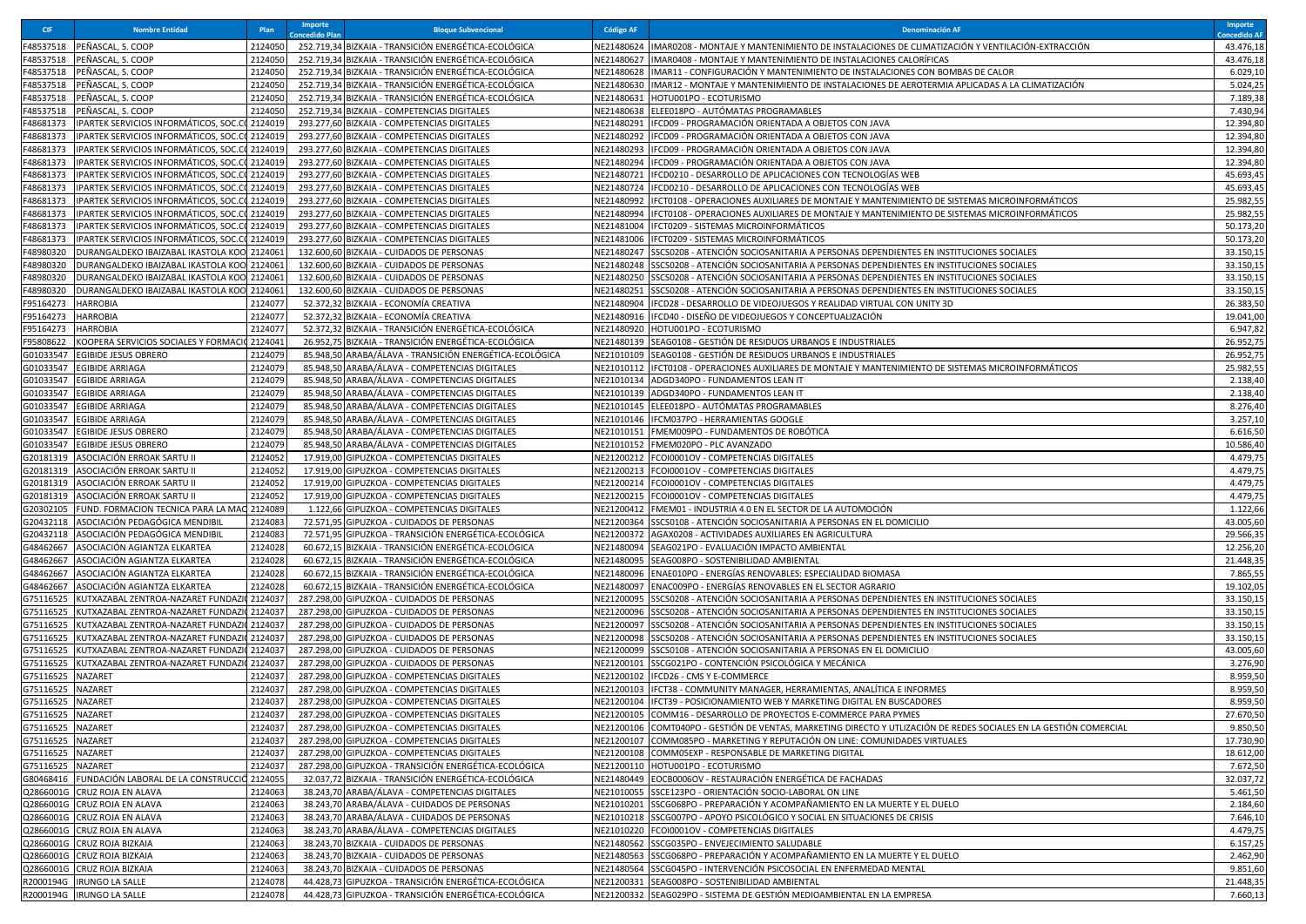| <b>CIF</b>                     | <b>Nombre Entidad</b>                                                                   | Plan               | Importe<br>oncedido Plar | <b>Bloque Subvencional</b>                                                                   | <b>Código AF</b>         | <b>Denominación AR</b>                                                                                                                                                                             | Importe<br>oncedido Al |
|--------------------------------|-----------------------------------------------------------------------------------------|--------------------|--------------------------|----------------------------------------------------------------------------------------------|--------------------------|----------------------------------------------------------------------------------------------------------------------------------------------------------------------------------------------------|------------------------|
| F48537518                      | PEÑASCAL, S. COOP                                                                       | 2124050            |                          | 252.719,34 BIZKAIA - TRANSICIÓN ENERGÉTICA-ECOLÓGICA                                         | <b>VE21480624</b>        | IIMAR0208 - MONTAJE Y MANTENIMIENTO DE INSTALACIONES DE CLIMATIZACIÓN Y VENTILACIÓN-EXTRACCIÓN                                                                                                     | 43.476,18              |
| F48537518                      | PEÑASCAL, S. COOP                                                                       | 2124050            |                          | 252.719,34 BIZKAIA - TRANSICIÓN ENERGÉTICA-ECOLÓGICA                                         | NE21480627               | IMAR0408 - MONTAJE Y MANTENIMIENTO DE INSTALACIONES CALORÍFICAS                                                                                                                                    | 43.476,18              |
| F48537518                      | PEÑASCAL, S. COOP                                                                       | 2124050            |                          | 252.719,34 BIZKAIA - TRANSICIÓN ENERGÉTICA-ECOLÓGICA                                         | NE21480628               | IMAR11 - CONFIGURACIÓN Y MANTENIMIENTO DE INSTALACIONES CON BOMBAS DE CALOR                                                                                                                        | 6.029,10               |
| F48537518                      | PEÑASCAL, S. COOP                                                                       | 2124050            |                          | 252.719,34 BIZKAIA - TRANSICIÓN ENERGÉTICA-ECOLÓGICA                                         | NE21480630               | IMAR12 - MONTAJE Y MANTENIMIENTO DE INSTALACIONES DE AEROTERMIA APLICADAS A LA CLIMATIZACIÓN                                                                                                       | 5.024,25               |
| F48537518                      | PEÑASCAL, S. COOP                                                                       | 2124050            |                          | 252.719,34 BIZKAIA - TRANSICIÓN ENERGÉTICA-ECOLÓGICA                                         | NE21480631               | HOTU001PO - ECOTURISMO                                                                                                                                                                             | 7.189,38               |
| F48537518                      | PEÑASCAL, S. COOP                                                                       | 2124050            |                          | 252.719,34 BIZKAIA - COMPETENCIAS DIGITALES                                                  | NE21480638               | ELEE018PO - AUTÓMATAS PROGRAMABLES                                                                                                                                                                 | 7.430,94               |
| F48681373                      | IPARTEK SERVICIOS INFORMÁTICOS, SOC.C<br>IPARTEK SERVICIOS INFORMÁTICOS, SOC.CO 2124019 | 2124019            |                          | 293.277,60 BIZKAIA - COMPETENCIAS DIGITALES                                                  | VE21480291<br>NE21480292 | IFCD09 - PROGRAMACIÓN ORIENTADA A OBJETOS CON JAVA                                                                                                                                                 | 12.394,80              |
| F48681373                      | IPARTEK SERVICIOS INFORMÁTICOS, SOC.CO                                                  |                    |                          | 293.277,60 BIZKAIA - COMPETENCIAS DIGITALES                                                  |                          | IFCD09 - PROGRAMACIÓN ORIENTADA A OBJETOS CON JAVA                                                                                                                                                 | 12.394,80              |
| F48681373<br>F48681373         | IPARTEK SERVICIOS INFORMÁTICOS, SOC.C                                                   | 2124019<br>2124019 |                          | 293.277,60 BIZKAIA - COMPETENCIAS DIGITALES<br>293.277,60 BIZKAIA - COMPETENCIAS DIGITALES   | VE21480293<br>NE21480294 | IFCD09 - PROGRAMACIÓN ORIENTADA A OBJETOS CON JAVA<br>IFCD09 - PROGRAMACIÓN ORIENTADA A OBJETOS CON JAVA                                                                                           | 12.394,80<br>12.394,80 |
| F48681373                      | IPARTEK SERVICIOS INFORMÁTICOS, SOC.C                                                   | 2124019            |                          | 293.277,60 BIZKAIA - COMPETENCIAS DIGITALES                                                  | NE21480721               | IFCD0210 - DESARROLLO DE APLICACIONES CON TECNOLOGÍAS WEB                                                                                                                                          | 45.693,4               |
| F48681373                      | IPARTEK SERVICIOS INFORMÁTICOS, SOC.C                                                   | 2124019            |                          | 293.277,60 BIZKAIA - COMPETENCIAS DIGITALES                                                  | NE21480724               | IFCD0210 - DESARROLLO DE APLICACIONES CON TECNOLOGÍAS WEB                                                                                                                                          | 45.693,45              |
| F48681373                      | IPARTEK SERVICIOS INFORMÁTICOS, SOC.CO                                                  | 2124019            |                          | 293.277,60 BIZKAIA - COMPETENCIAS DIGITALES                                                  | VE21480992               | IFCT0108 - OPERACIONES AUXILIARES DE MONTAJE Y MANTENIMIENTO DE SISTEMAS MICROINFORMÁTICOS                                                                                                         | 25.982,55              |
| F48681373                      | IPARTEK SERVICIOS INFORMÁTICOS, SOC.C                                                   | 2124019            |                          | 293.277,60 BIZKAIA - COMPETENCIAS DIGITALES                                                  | VE21480994               | FCT0108 - OPERACIONES AUXILIARES DE MONTAJE Y MANTENIMIENTO DE SISTEMAS MICROINFORMÁTICOS                                                                                                          | 25.982,55              |
| F48681373                      | IPARTEK SERVICIOS INFORMÁTICOS, SOC.C                                                   | 2124019            |                          | 293.277,60 BIZKAIA - COMPETENCIAS DIGITALES                                                  | NE21481004               | IFCT0209 - SISTEMAS MICROINFORMÁTICOS                                                                                                                                                              | 50.173,20              |
| F48681373                      | IPARTEK SERVICIOS INFORMÁTICOS, SOC.CO                                                  | 2124019            |                          | 293.277,60 BIZKAIA - COMPETENCIAS DIGITALES                                                  | NE21481006               | IFCT0209 - SISTEMAS MICROINFORMÁTICOS                                                                                                                                                              | 50.173,20              |
| F48980320                      | DURANGALDEKO IBAIZABAL IKASTOLA KOO 2124061                                             |                    |                          | 132.600,60 BIZKAIA - CUIDADOS DE PERSONAS                                                    | VE21480247               | SSCS0208 - ATENCIÓN SOCIOSANITARIA A PERSONAS DEPENDIENTES EN INSTITUCIONES SOCIALES                                                                                                               | 33.150,15              |
| F48980320                      | DURANGALDEKO IBAIZABAL IKASTOLA KOC                                                     | 2124061            |                          | 132.600,60 BIZKAIA - CUIDADOS DE PERSONAS                                                    | NE21480248               | SSCS0208 - ATENCIÓN SOCIOSANITARIA A PERSONAS DEPENDIENTES EN INSTITUCIONES SOCIALES                                                                                                               | 33.150,15              |
| F48980320                      | DURANGALDEKO IBAIZABAL IKASTOLA KOO                                                     | 2124061            |                          | 132.600,60 BIZKAIA - CUIDADOS DE PERSONAS                                                    | NE21480250               | SSCS0208 - ATENCIÓN SOCIOSANITARIA A PERSONAS DEPENDIENTES EN INSTITUCIONES SOCIALES                                                                                                               | 33.150,1               |
| F48980320                      | DURANGALDEKO IBAIZABAL IKASTOLA KOO 2124061                                             |                    |                          | 132.600,60 BIZKAIA - CUIDADOS DE PERSONAS                                                    | NE21480251               | SSCS0208 - ATENCIÓN SOCIOSANITARIA A PERSONAS DEPENDIENTES EN INSTITUCIONES SOCIALES                                                                                                               | 33.150,15              |
| F95164273                      | <b>HARROBIA</b>                                                                         | 2124077            |                          | 52.372,32 BIZKAIA - ECONOMÍA CREATIVA                                                        | NE21480904               | IFCD28 - DESARROLLO DE VIDEOJUEGOS Y REALIDAD VIRTUAL CON UNITY 3D                                                                                                                                 | 26.383,50              |
| F95164273                      | HARROBIA                                                                                | 2124077            |                          | 52.372,32 BIZKAIA - ECONOMÍA CREATIVA                                                        | VE21480916               | IFCD40 - DISEÑO DE VIDEOJUEGOS Y CONCEPTUALIZACIÓN                                                                                                                                                 | 19.041,00              |
| F95164273                      | HARROBIA                                                                                | 2124077            |                          | 52.372,32 BIZKAIA - TRANSICIÓN ENERGÉTICA-ECOLÓGICA                                          | NE21480920               | HOTU001PO - ECOTURISMO                                                                                                                                                                             | 6.947,82               |
| F95808622                      | KOOPERA SERVICIOS SOCIALES Y FORMACI                                                    | 2124041            |                          | 26.952,75 BIZKAIA - TRANSICIÓN ENERGÉTICA-ECOLÓGICA                                          | NE21480139               | SEAG0108 - GESTIÓN DE RESIDUOS URBANOS E INDUSTRIALES                                                                                                                                              | 26.952,75              |
| G01033547                      | EGIBIDE JESUS OBRERO                                                                    | 2124079            |                          | 85.948,50 ARABA/ÁLAVA - TRANSICIÓN ENERGÉTICA-ECOLÓGICA                                      | NE21010109               | SEAG0108 - GESTIÓN DE RESIDUOS URBANOS E INDUSTRIALES                                                                                                                                              | 26.952,75              |
| G01033547                      | EGIBIDE ARRIAGA                                                                         | 2124079            |                          | 85.948,50 ARABA/ÁLAVA - COMPETENCIAS DIGITALES                                               | NE21010112               | IFCT0108 - OPERACIONES AUXILIARES DE MONTAJE Y MANTENIMIENTO DE SISTEMAS MICROINFORMÁTICOS                                                                                                         | 25.982,55              |
| G01033547                      | EGIBIDE ARRIAGA                                                                         | 2124079            |                          | 85.948,50 ARABA/ÁLAVA - COMPETENCIAS DIGITALES                                               | NE21010134               | ADGD340PO - FUNDAMENTOS LEAN IT                                                                                                                                                                    | 2.138,40               |
| G01033547                      | <b>EGIBIDE ARRIAGA</b>                                                                  | 2124079            |                          | 85.948,50 ARABA/ÁLAVA - COMPETENCIAS DIGITALES                                               | NE21010139               | ADGD340PO - FUNDAMENTOS LEAN IT                                                                                                                                                                    | 2.138,40               |
| G01033547                      | <b>EGIBIDE ARRIAGA</b>                                                                  | 2124079            |                          | 85.948,50 ARABA/ÁLAVA - COMPETENCIAS DIGITALES                                               | NE21010145               | ELEE018PO - AUTÓMATAS PROGRAMABLES                                                                                                                                                                 | 8.276,40               |
| G01033547                      | EGIBIDE ARRIAGA                                                                         | 2124079            |                          | 85.948,50 ARABA/ÁLAVA - COMPETENCIAS DIGITALES                                               | VE21010146               | IFCM037PO - HERRAMIENTAS GOOGLE                                                                                                                                                                    | 3.257,10               |
| G01033547                      | EGIBIDE JESUS OBRERO                                                                    | 2124079<br>2124079 |                          | 85.948,50 ARABA/ÁLAVA - COMPETENCIAS DIGITALES                                               | NE21010151               | FMEM009PO - FUNDAMENTOS DE ROBÓTICA                                                                                                                                                                | 6.616,50               |
| G01033547<br>G20181319         | EGIBIDE JESUS OBRERO                                                                    | 2124052            |                          | 85.948,50 ARABA/ÁLAVA - COMPETENCIAS DIGITALES                                               | NE21010152<br>VE21200212 | FMEM020PO - PLC AVANZADO                                                                                                                                                                           | 10.586,40<br>4.479,75  |
| G20181319                      | ASOCIACIÓN ERROAK SARTU I<br>ASOCIACIÓN ERROAK SARTU II                                 | 2124052            |                          | 17.919,00 GIPUZKOA - COMPETENCIAS DIGITALES<br>17.919,00 GIPUZKOA - COMPETENCIAS DIGITALES   | VE21200213               | FCOI0001OV - COMPETENCIAS DIGITALES<br>FCOI0001OV - COMPETENCIAS DIGITALES                                                                                                                         | 4.479,75               |
| G20181319                      | ASOCIACIÓN ERROAK SARTU II                                                              | 2124052            |                          | 17.919,00 GIPUZKOA - COMPETENCIAS DIGITALES                                                  | VE21200214               | FCOI0001OV - COMPETENCIAS DIGITALES                                                                                                                                                                | 4.479,75               |
| G20181319                      | ASOCIACIÓN ERROAK SARTU II                                                              | 2124052            |                          | 17.919,00 GIPUZKOA - COMPETENCIAS DIGITALES                                                  | NE21200215               | FCOI0001OV - COMPETENCIAS DIGITALES                                                                                                                                                                | 4.479,75               |
| G20302105                      | FUND. FORMACION TECNICA PARA LA MAC                                                     | 2124089            |                          | 1.122,66 GIPUZKOA - COMPETENCIAS DIGITALES                                                   | NE21200412               | FMEM01 - INDUSTRIA 4.0 EN EL SECTOR DE LA AUTOMOCIÓN                                                                                                                                               | 1.122,66               |
| G20432118                      | ASOCIACIÓN PEDAGÓGICA MENDIBIL                                                          | 2124083            |                          | 72.571,95 GIPUZKOA - CUIDADOS DE PERSONAS                                                    | VE21200364               | SSCS0108 - ATENCIÓN SOCIOSANITARIA A PERSONAS EN EL DOMICILIO                                                                                                                                      | 43.005,60              |
| G20432118                      | ASOCIACIÓN PEDAGÓGICA MENDIBIL                                                          | 2124083            |                          | 72.571,95 GIPUZKOA - TRANSICIÓN ENERGÉTICA-ECOLÓGICA                                         | NE21200372               | AGAX0208 - ACTIVIDADES AUXILIARES EN AGRICULTURA                                                                                                                                                   | 29.566,35              |
| G48462667                      | ASOCIACIÓN AGIANTZA ELKARTEA                                                            | 2124028            |                          | 60.672,15 BIZKAIA - TRANSICIÓN ENERGÉTICA-ECOLÓGICA                                          | NE21480094               | SEAG021PO - EVALUACIÓN IMPACTO AMBIENTAL                                                                                                                                                           | 12.256,20              |
| G48462667                      | ASOCIACIÓN AGIANTZA ELKARTEA                                                            | 2124028            |                          | 60.672,15 BIZKAIA - TRANSICIÓN ENERGÉTICA-ECOLÓGICA                                          | NE21480095               | SEAG008PO - SOSTENIBILIDAD AMBIENTAL                                                                                                                                                               | 21.448,35              |
| G48462667                      | ASOCIACIÓN AGIANTZA ELKARTEA                                                            | 2124028            |                          | 60.672,15 BIZKAIA - TRANSICIÓN ENERGÉTICA-ECOLÓGICA                                          | NE21480096               | ENAE010PO - ENERGÍAS RENOVABLES: ESPECIALIDAD BIOMASA                                                                                                                                              | 7.865,55               |
| G48462667                      | ASOCIACIÓN AGIANTZA ELKARTEA                                                            | 2124028            |                          | 60.672,15 BIZKAIA - TRANSICIÓN ENERGÉTICA-ECOLÓGICA                                          | VE21480097               | ENAC009PO - ENERGÍAS RENOVABLES EN EL SECTOR AGRARIO                                                                                                                                               | 19.102,05              |
| G75116525                      | KUTXAZABAL ZENTROA-NAZARET FUNDAZI                                                      | 2124037            |                          | 287.298,00 GIPUZKOA - CUIDADOS DE PERSONAS                                                   | NE21200095               | SSCS0208 - ATENCIÓN SOCIOSANITARIA A PERSONAS DEPENDIENTES EN INSTITUCIONES SOCIALES                                                                                                               | 33.150,15              |
| G75116525                      | KUTXAZABAL ZENTROA-NAZARET FUNDAZI( 2124037                                             |                    |                          | 287.298,00 GIPUZKOA - CUIDADOS DE PERSONAS                                                   | NE21200096               | SSCS0208 - ATENCIÓN SOCIOSANITARIA A PERSONAS DEPENDIENTES EN INSTITUCIONES SOCIALES                                                                                                               | 33.150,15              |
| G75116525                      | KUTXAZABAL ZENTROA-NAZARET FUNDAZI                                                      | 2124037            |                          | 287.298,00 GIPUZKOA - CUIDADOS DE PERSONAS                                                   | NE21200097               | SSCS0208 - ATENCIÓN SOCIOSANITARIA A PERSONAS DEPENDIENTES EN INSTITUCIONES SOCIALES                                                                                                               | 33.150,1               |
| G75116525                      | KUTXAZABAL ZENTROA-NAZARET FUNDAZI                                                      | 2124037            |                          | 287.298,00 GIPUZKOA - CUIDADOS DE PERSONAS                                                   | VE21200098               | SSCS0208 - ATENCIÓN SOCIOSANITARIA A PERSONAS DEPENDIENTES EN INSTITUCIONES SOCIALES                                                                                                               | 33.150,15              |
| G75116525                      | KUTXAZABAL ZENTROA-NAZARET FUNDAZI                                                      | 2124037            |                          | 287.298,00 GIPUZKOA - CUIDADOS DE PERSONAS                                                   | NE21200099               | SSCS0108 - ATENCIÓN SOCIOSANITARIA A PERSONAS EN EL DOMICILIO                                                                                                                                      | 43.005,60              |
| G75116525                      | KUTXAZABAL ZENTROA-NAZARET FUNDAZI                                                      | 2124037            |                          | 287.298,00 GIPUZKOA - CUIDADOS DE PERSONAS                                                   | NE21200101               | SSCG021PO - CONTENCIÓN PSICOLÓGICA Y MECÁNICA                                                                                                                                                      | 3.276,90               |
| G75116525                      | NAZARET                                                                                 | 2124037            |                          | 287.298,00 GIPUZKOA - COMPETENCIAS DIGITALES                                                 | NE21200102               | IFCD26 - CMS Y E-COMMERCE                                                                                                                                                                          | 8.959,50               |
| G75116525                      | NAZARET                                                                                 | 2124037            |                          | 287.298,00 GIPUZKOA - COMPETENCIAS DIGITALES                                                 | E21200103                | IFCT38 - COMMUNITY MANAGER, HERRAMIENTAS, ANALÍTICA E INFORMES                                                                                                                                     | 8.959,50               |
| G75116525<br>G75116525 NAZARET | NAZARET                                                                                 | 2124037            |                          | 287.298,00 GIPUZKOA - COMPETENCIAS DIGITALES                                                 | NE21200104               | IFCT39 - POSICIONAMIENTO WEB Y MARKETING DIGITAL EN BUSCADORES                                                                                                                                     | 8.959,50               |
| G75116525 NAZARET              |                                                                                         | 2124037<br>2124037 |                          | 287.298,00 GIPUZKOA - COMPETENCIAS DIGITALES<br>287.298,00 GIPUZKOA - COMPETENCIAS DIGITALES |                          | NE21200105 COMM16 - DESARROLLO DE PROYECTOS E-COMMERCE PARA PYMES                                                                                                                                  | 27.670,50<br>9.850,50  |
| G75116525 NAZARET              |                                                                                         | 2124037            |                          | 287.298,00 GIPUZKOA - COMPETENCIAS DIGITALES                                                 |                          | NE21200106 COMT040PO - GESTIÓN DE VENTAS, MARKETING DIRECTO Y UTLIZACIÓN DE REDES SOCIALES EN LA GESTIÓN COMERCIAL<br>VE21200107 COMM085PO - MARKETING Y REPUTACIÓN ON LINE: COMUNIDADES VIRTUALES | 17.730,90              |
| G75116525 NAZARET              |                                                                                         | 2124037            |                          | 287.298,00 GIPUZKOA - COMPETENCIAS DIGITALES                                                 |                          | NE21200108 COMM05EXP - RESPONSABLE DE MARKETING DIGITAL                                                                                                                                            | 18.612,00              |
| G75116525 NAZARET              |                                                                                         | 2124037            |                          | 287.298,00 GIPUZKOA - TRANSICIÓN ENERGÉTICA-ECOLÓGICA                                        |                          | NE21200110 HOTU001PO - ECOTURISMO                                                                                                                                                                  | 7.672,50               |
|                                | G80468416 FUNDACIÓN LABORAL DE LA CONSTRUCCIÓ 2124055                                   |                    |                          | 32.037,72 BIZKAIA - TRANSICIÓN ENERGÉTICA-ECOLÓGICA                                          |                          | NE21480449 EOCB0006OV - RESTAURACIÓN ENERGÉTICA DE FACHADAS                                                                                                                                        | 32.037,72              |
|                                | Q2866001G CRUZ ROJA EN ALAVA                                                            | 2124063            |                          | 38.243,70 ARABA/ÁLAVA - COMPETENCIAS DIGITALES                                               |                          | NE21010055 SSCE123PO - ORIENTACIÓN SOCIO-LABORAL ON LINE                                                                                                                                           | 5.461,50               |
|                                | Q2866001G CRUZ ROJA EN ALAVA                                                            | 2124063            |                          | 38.243,70 ARABA/ÁLAVA - CUIDADOS DE PERSONAS                                                 | NE21010201               | SSCG068PO - PREPARACIÓN Y ACOMPAÑAMIENTO EN LA MUERTE Y EL DUELO                                                                                                                                   | 2.184,60               |
|                                | Q2866001G CRUZ ROJA EN ALAVA                                                            | 2124063            |                          | 38.243,70 ARABA/ÁLAVA - CUIDADOS DE PERSONAS                                                 |                          | NE21010218 SSCG007PO - APOYO PSICOLÓGICO Y SOCIAL EN SITUACIONES DE CRISIS                                                                                                                         | 7.646,10               |
|                                | Q2866001G CRUZ ROJA EN ALAVA                                                            | 2124063            |                          | 38.243,70 ARABA/ÁLAVA - COMPETENCIAS DIGITALES                                               |                          | NE21010220 FCOI0001OV - COMPETENCIAS DIGITALES                                                                                                                                                     | 4.479,75               |
|                                | Q2866001G CRUZ ROJA BIZKAIA                                                             | 2124063            |                          | 38.243,70 BIZKAIA - CUIDADOS DE PERSONAS                                                     |                          | NE21480562 SSCG035PO - ENVEJECIMIENTO SALUDABLE                                                                                                                                                    | 6.157,25               |
|                                | Q2866001G CRUZ ROJA BIZKAIA                                                             | 2124063            |                          | 38.243,70 BIZKAIA - CUIDADOS DE PERSONAS                                                     |                          | NE21480563 SSCG068PO - PREPARACIÓN Y ACOMPAÑAMIENTO EN LA MUERTE Y EL DUELO                                                                                                                        | 2.462,90               |
|                                | Q2866001G CRUZ ROJA BIZKAIA                                                             | 2124063            |                          | 38.243,70 BIZKAIA - CUIDADOS DE PERSONAS                                                     | NE21480564               | SSCG045PO - INTERVENCIÓN PSICOSOCIAL EN ENFERMEDAD MENTAL                                                                                                                                          | 9.851,60               |
|                                | R2000194G  IRUNGO LA SALLE                                                              | 2124078            |                          | 44.428,73 GIPUZKOA - TRANSICIÓN ENERGÉTICA-ECOLÓGICA                                         |                          | NE21200331 SEAG008PO - SOSTENIBILIDAD AMBIENTAL                                                                                                                                                    | 21.448,35              |
|                                | R2000194G RUNGO LA SALLE                                                                | 2124078            |                          | 44.428,73 GIPUZKOA - TRANSICIÓN ENERGÉTICA-ECOLÓGICA                                         |                          | NE21200332 SEAG029PO - SISTEMA DE GESTIÓN MEDIOAMBIENTAL EN LA EMPRESA                                                                                                                             | 7.660,13               |